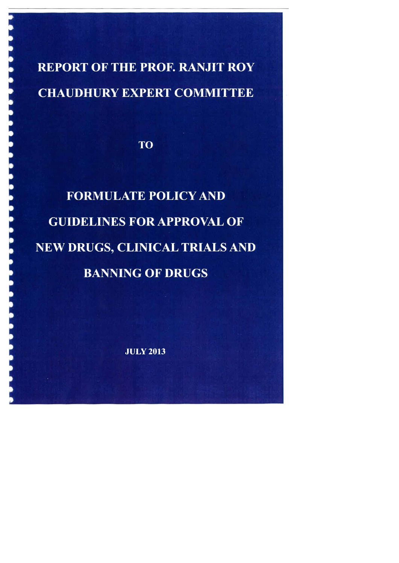**REPORT OF THE PROF. RANJIT ROY CHAUDHURY EXPERT COMMITTEE** 

**TO** 

**FORMULATE POLICY AND GUIDELINES FOR APPROVAL OF** NEW DRUGS, CLINICAL TRIALS AND **BANNING OF DRUGS** 

**JULY 2013**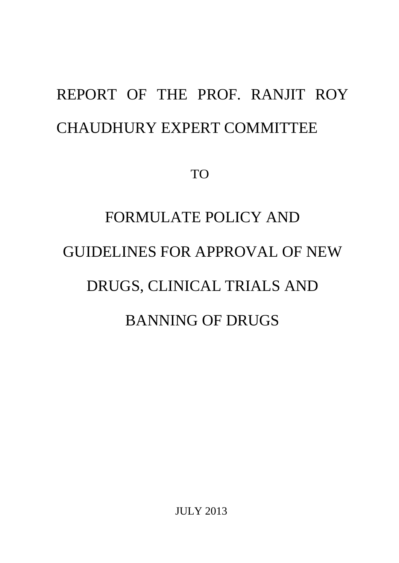## REPORT OF THE PROF. RANJIT ROY CHAUDHURY EXPERT COMMITTEE

TO

# FORMULATE POLICY AND GUIDELINES FOR APPROVAL OF NEW DRUGS, CLINICAL TRIALS AND BANNING OF DRUGS

JULY 2013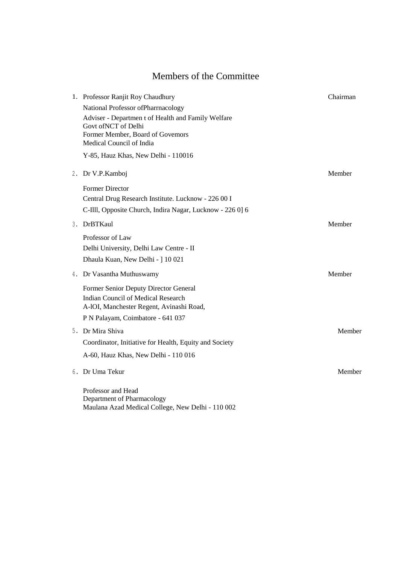## Members of the Committee

|  | 1. Professor Ranjit Roy Chaudhury                            | Chairman |
|--|--------------------------------------------------------------|----------|
|  | National Professor ofPharrnacology                           |          |
|  | Adviser - Departmen t of Health and Family Welfare           |          |
|  | Govt of NCT of Delhi                                         |          |
|  | Former Member, Board of Govemors<br>Medical Council of India |          |
|  |                                                              |          |
|  | Y-85, Hauz Khas, New Delhi - 110016                          |          |
|  | 2. Dr V.P.Kamboj                                             | Member   |
|  | <b>Former Director</b>                                       |          |
|  | Central Drug Research Institute. Lucknow - 226 00 I          |          |
|  | C-Illl, Opposite Church, Indira Nagar, Lucknow - 226 0] 6    |          |
|  | 3. DrBTKaul                                                  | Member   |
|  | Professor of Law                                             |          |
|  | Delhi University, Delhi Law Centre - II                      |          |
|  | Dhaula Kuan, New Delhi - ] 10 021                            |          |
|  | 4. Dr Vasantha Muthuswamy                                    | Member   |
|  | Former Senior Deputy Director General                        |          |
|  | <b>Indian Council of Medical Research</b>                    |          |
|  | A-IOI, Manchester Regent, Avinashi Road,                     |          |
|  | P N Palayam, Coimbatore - 641 037                            |          |
|  | 5. Dr Mira Shiva                                             | Member   |
|  | Coordinator, Initiative for Health, Equity and Society       |          |
|  | A-60, Hauz Khas, New Delhi - 110 016                         |          |
|  | 6. Dr Uma Tekur                                              | Member   |
|  | Professor and Head                                           |          |
|  | Department of Pharmacology                                   |          |
|  | Maulana Azad Medical College, New Delhi - 110 002            |          |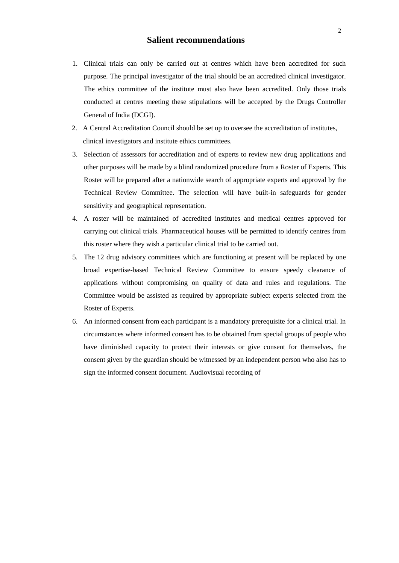#### **Salient recommendations**

- 1. Clinical trials can only be carried out at centres which have been accredited for such purpose. The principal investigator of the trial should be an accredited clinical investigator. The ethics committee of the institute must also have been accredited. Only those trials conducted at centres meeting these stipulations will be accepted by the Drugs Controller General of India (DCGI).
- 2. A Central Accreditation Council should be set up to oversee the accreditation of institutes, clinical investigators and institute ethics committees.
- 3. Selection of assessors for accreditation and of experts to review new drug applications and other purposes will be made by a blind randomized procedure from a Roster of Experts. This Roster will be prepared after a nationwide search of appropriate experts and approval by the Technical Review Committee. The selection will have built-in safeguards for gender sensitivity and geographical representation.
- 4. A roster will be maintained of accredited institutes and medical centres approved for carrying out clinical trials. Pharmaceutical houses will be permitted to identify centres from this roster where they wish a particular clinical trial to be carried out.
- 5. The 12 drug advisory committees which are functioning at present will be replaced by one broad expertise-based Technical Review Committee to ensure speedy clearance of applications without compromising on quality of data and rules and regulations. The Committee would be assisted as required by appropriate subject experts selected from the Roster of Experts.
- 6. An informed consent from each participant is a mandatory prerequisite for a clinical trial. In circumstances where informed consent has to be obtained from special groups of people who have diminished capacity to protect their interests or give consent for themselves, the consent given by the guardian should be witnessed by an independent person who also has to sign the informed consent document. Audiovisual recording of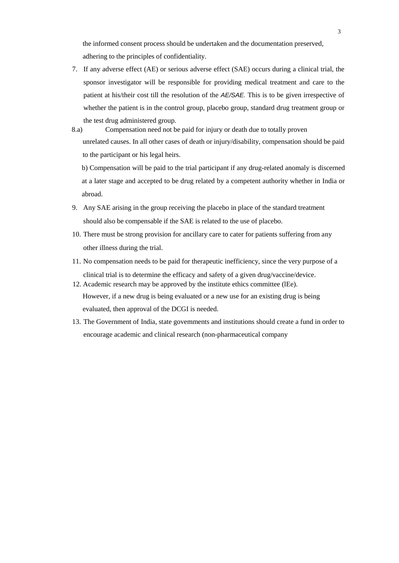the informed consent process should be undertaken and the documentation preserved, adhering to the principles of confidentiality.

- 7. If any adverse effect (AE) or serious adverse effect (SAE) occurs during a clinical trial, the sponsor investigator will be responsible for providing medical treatment and care to the patient at his/their cost till the resolution of the *AE/SAE.* This is to be given irrespective of whether the patient is in the control group, placebo group, standard drug treatment group or the test drug administered group.
- 8.a) Compensation need not be paid for injury or death due to totally proven unrelated causes. In all other cases of death or injury/disability, compensation should be paid to the participant or his legal heirs.

b) Compensation will be paid to the trial participant if any drug-related anomaly is discerned at a later stage and accepted to be drug related by a competent authority whether in India or abroad.

- 9. Any SAE arising in the group receiving the placebo in place of the standard treatment should also be compensable if the SAE is related to the use of placebo.
- 10. There must be strong provision for ancillary care to cater for patients suffering from any other illness during the trial.
- 11. No compensation needs to be paid for therapeutic inefficiency, since the very purpose of a clinical trial is to determine the efficacy and safety of a given drug/vaccine/device.
- 12. Academic research may be approved by the institute ethics committee (lEe). However, if a new drug is being evaluated or a new use for an existing drug is being evaluated, then approval of the DCGI is needed.
- 13. The Government of India, state govemments and institutions should create a fund in order to encourage academic and clinical research (non-pharmaceutical company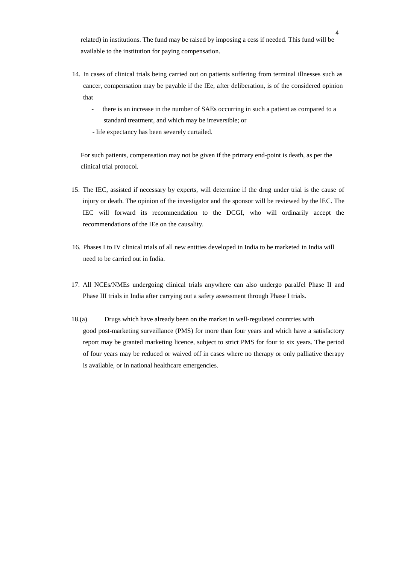related) in institutions. The fund may be raised by imposing a cess if needed. This fund will be available to the institution for paying compensation.

- 14. In cases of clinical trials being carried out on patients suffering from terminal illnesses such as cancer, compensation may be payable if the lEe, after deliberation, is of the considered opinion that
	- there is an increase in the number of SAEs occurring in such a patient as compared to a standard treatment, and which may be irreversible; or
	- life expectancy has been severely curtailed.

For such patients, compensation may not be given if the primary end-point is death, as per the clinical trial protocol.

- 15. The IEC, assisted if necessary by experts, will determine if the drug under trial is the cause of injury or death. The opinion of the investigator and the sponsor will be reviewed by the lEC. The IEC will forward its recommendation to the DCGI, who will ordinarily accept the recommendations of the IEe on the causality.
- 16. Phases I to IV clinical trials of all new entities developed in India to be marketed in India will need to be carried out in India.
- 17. All NCEs/NMEs undergoing clinical trials anywhere can also undergo paralJel Phase II and Phase III trials in India after carrying out a safety assessment through Phase I trials.
- 18.(a) Drugs which have already been on the market in well-regulated countries with good post-marketing surveillance (PMS) for more than four years and which have a satisfactory report may be granted marketing licence, subject to strict PMS for four to six years. The period of four years may be reduced or waived off in cases where no therapy or only palliative therapy is available, or in national healthcare emergencies.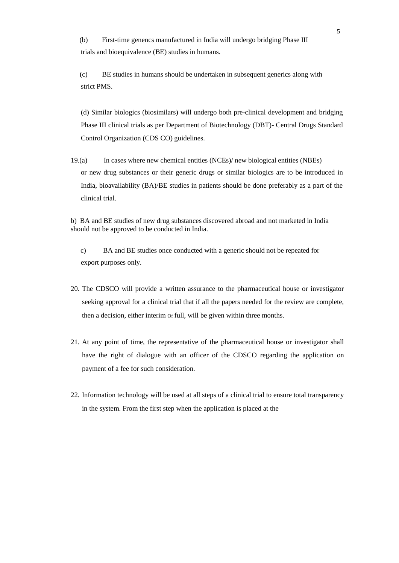(b) First-time genencs manufactured in India will undergo bridging Phase III trials and bioequivalence (BE) studies in humans.

(c) BE studies in humans should be undertaken in subsequent generics along with strict PMS.

(d) Similar biologics (biosimilars) will undergo both pre-clinical development and bridging Phase III clinical trials as per Department of Biotechnology (DBT)- Central Drugs Standard Control Organization (CDS CO) guidelines.

19.(a) In cases where new chemical entities (NCEs)/ new biological entities (NBEs) or new drug substances or their generic drugs or similar biologics are to be introduced in India, bioavailability (BA)/BE studies in patients should be done preferably as a part of the clinical trial.

b) BA and BE studies of new drug substances discovered abroad and not marketed in India should not be approved to be conducted in India.

c) BA and BE studies once conducted with a generic should not be repeated for export purposes only.

- 20. The CDSCO will provide a written assurance to the pharmaceutical house or investigator seeking approval for a clinical trial that if all the papers needed for the review are complete, then a decision, either interim Of full, will be given within three months.
- 21. At any point of time, the representative of the pharmaceutical house or investigator shall have the right of dialogue with an officer of the CDSCO regarding the application on payment of a fee for such consideration.
- 22. Information technology will be used at all steps of a clinical trial to ensure total transparency in the system. From the first step when the application is placed at the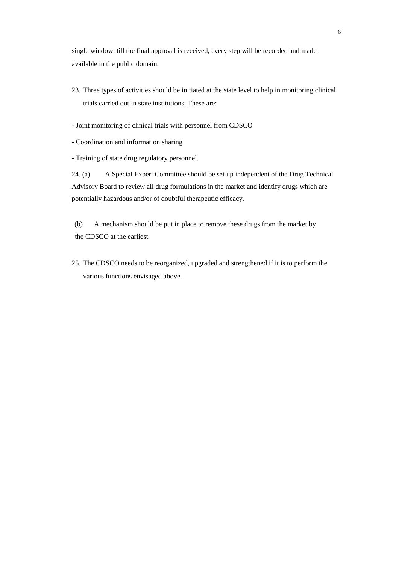single window, till the final approval is received, every step will be recorded and made available in the public domain.

- 23. Three types of activities should be initiated at the state level to help in monitoring clinical trials carried out in state institutions. These are:
- Joint monitoring of clinical trials with personnel from CDSCO
- Coordination and information sharing
- Training of state drug regulatory personnel.

24. (a) A Special Expert Committee should be set up independent of the Drug Technical Advisory Board to review all drug formulations in the market and identify drugs which are potentially hazardous and/or of doubtful therapeutic efficacy.

(b) A mechanism should be put in place to remove these drugs from the market by the CDSCO at the earliest.

25. The CDSCO needs to be reorganized, upgraded and strengthened if it is to perform the various functions envisaged above.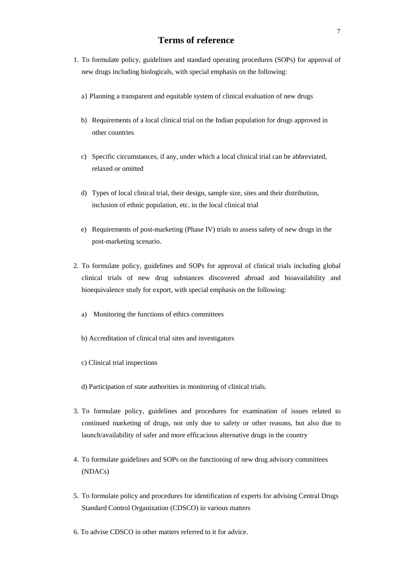### **Terms of reference**

- 1. To formulate policy, guidelines and standard operating procedures (SOPs) for approval of new drugs including biologicals, with special emphasis on the following:
	- a} Planning a transparent and equitable system of clinical evaluation of new drugs
	- b) Requirements of a local clinical trial on the Indian population for drugs approved in other countries
	- c) Specific circumstances, if any, under which a local clinical trial can be abbreviated, relaxed or omitted
	- d) Types of local clinical trial, their design, sample size, sites and their distribution, inclusion of ethnic population, etc. in the local clinical trial
	- e) Requirements of post-marketing (Phase IV) trials to assess safety of new drugs in the post-marketing scenario.
- 2. To formulate policy, guidelines and SOPs for approval of clinical trials including global clinical trials of new drug substances discovered abroad and bioavailability and bioequivalence study for export, with special emphasis on the following:
	- a) Monitoring the functions of ethics committees
	- b) Accreditation of clinical trial sites and investigators
	- c) Clinical trial inspections
	- d) Participation of state authorities in monitoring of clinical trials.
- 3. To formulate policy, guidelines and procedures for examination of issues related to continued marketing of drugs, not only due to safety or other reasons, but also due to launch/availability of safer and more efficacious alternative drugs in the country
- 4. To formulate guidelines and SOPs on the functioning of new drug advisory committees (NDACs)
- 5. To formulate policy and procedures for identification of experts for advising Central Drugs Standard Control Organization (CDSCO) in various matters
- 6. To advise CDSCO in other matters referred to it for advice.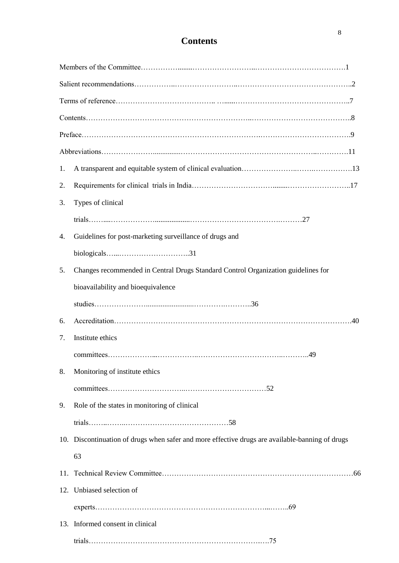## **Contents**

| 1. |                                                                                                 |
|----|-------------------------------------------------------------------------------------------------|
| 2. |                                                                                                 |
| 3. | Types of clinical                                                                               |
|    |                                                                                                 |
| 4. | Guidelines for post-marketing surveillance of drugs and                                         |
|    |                                                                                                 |
| 5. | Changes recommended in Central Drugs Standard Control Organization guidelines for               |
|    | bioavailability and bioequivalence                                                              |
|    |                                                                                                 |
| 6. |                                                                                                 |
| 7. | Institute ethics                                                                                |
|    |                                                                                                 |
| 8. | Monitoring of institute ethics                                                                  |
|    |                                                                                                 |
| 9. | Role of the states in monitoring of clinical                                                    |
|    |                                                                                                 |
|    | 10. Discontinuation of drugs when safer and more effective drugs are available-banning of drugs |
|    | 63                                                                                              |
|    |                                                                                                 |
|    | 12. Unbiased selection of                                                                       |
|    |                                                                                                 |
|    | 13. Informed consent in clinical                                                                |
|    |                                                                                                 |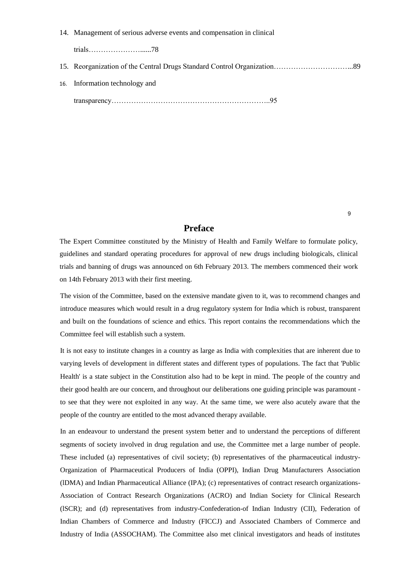#### 14. Management of serious adverse events and compensation in clinical

trials…………………......78

- 15. Reorganization of the Central Drugs Standard Control Organization…………………………...89
- 16. Information technology and

transparency………………………………………………………..95

#### **Preface**

The Expert Committee constituted by the Ministry of Health and Family Welfare to formulate policy, guidelines and standard operating procedures for approval of new drugs including biologicals, clinical trials and banning of drugs was announced on 6th February 2013. The members commenced their work on 14th February 2013 with their first meeting.

The vision of the Committee, based on the extensive mandate given to it, was to recommend changes and introduce measures which would result in a drug regulatory system for India which is robust, transparent and built on the foundations of science and ethics. This report contains the recommendations which the Committee feel will establish such a system.

It is not easy to institute changes in a country as large as India with complexities that are inherent due to varying levels of development in different states and different types of populations. The fact that 'Public Health' is a state subject in the Constitution also had to be kept in mind. The people of the country and their good health are our concern, and throughout our deliberations one guiding principle was paramount to see that they were not exploited in any way. At the same time, we were also acutely aware that the people of the country are entitled to the most advanced therapy available.

In an endeavour to understand the present system better and to understand the perceptions of different segments of society involved in drug regulation and use, the Committee met a large number of people. These included (a) representatives of civil society; (b) representatives of the pharmaceutical industry-Organization of Pharmaceutical Producers of India (OPPI), Indian Drug Manufacturers Association (lDMA) and Indian Pharmaceutical Alliance (IPA); (c) representatives of contract research organizations-Association of Contract Research Organizations (ACRO) and Indian Society for Clinical Research (lSCR); and (d) representatives from industry-Confederation-of Indian Industry (CII), Federation of Indian Chambers of Commerce and Industry (FICCJ) and Associated Chambers of Commerce and Industry of India (ASSOCHAM). The Committee also met clinical investigators and heads of institutes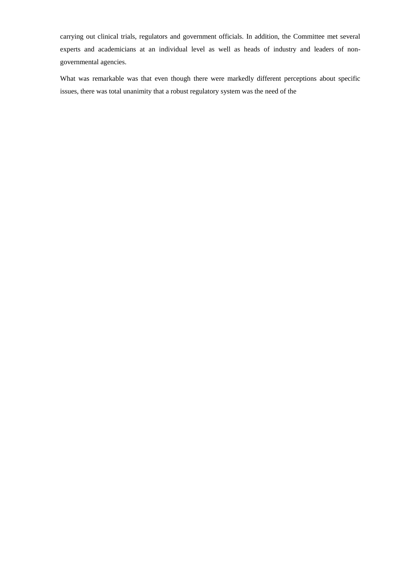carrying out clinical trials, regulators and government officials. In addition, the Committee met several experts and academicians at an individual level as well as heads of industry and leaders of nongovernmental agencies.

What was remarkable was that even though there were markedly different perceptions about specific issues, there was total unanimity that a robust regulatory system was the need of the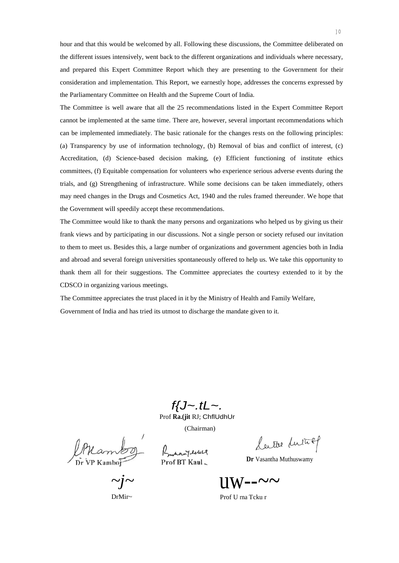hour and that this would be welcomed by all. Following these discussions, the Committee deliberated on the different issues intensively, went back to the different organizations and individuals where necessary, and prepared this Expert Committee Report which they are presenting to the Government for their consideration and implementation. This Report, we earnestly hope, addresses the concerns expressed by the Parliamentary Committee on Health and the Supreme Court of India.

The Committee is well aware that all the 25 recommendations listed in the Expert Committee Report cannot be implemented at the same time. There are, however, several important recommendations which can be implemented immediately. The basic rationale for the changes rests on the following principles: (a) Transparency by use of information technology, (b) Removal of bias and conflict of interest, (c) Accreditation, (d) Science-based decision making, (e) Efficient functioning of institute ethics committees, (f) Equitable compensation for volunteers who experience serious adverse events during the trials, and (g) Strengthening of infrastructure. While some decisions can be taken immediately, others may need changes in the Drugs and Cosmetics Act, 1940 and the rules framed thereunder. We hope that the Government will speedily accept these recommendations.

The Committee would like to thank the many persons and organizations who helped us by giving us their frank views and by participating in our discussions. Not a single person or society refused our invitation to them to meet us. Besides this, a large number of organizations and government agencies both in India and abroad and several foreign universities spontaneously offered to help us. We take this opportunity to thank them all for their suggestions. The Committee appreciates the courtesy extended to it by the CDSCO in organizing various meetings.

The Committee appreciates the trust placed in it by the Ministry of Health and Family Welfare,

Government of India and has tried its utmost to discharge the mandate given to it.

*f{J~.tL~.* 

Prof **Ra.(jit** RJ; ChflUdhUr

Bronany echeq Prof BT Kaul

(Chairman)

 $\tilde{Dr}$  VP Kambol

*~j~* 

DrMir~

Latte Lutiof

**Dr** Vasantha Muthuswamy

 $\frac{1}{W}$ -- $\sim$ 

Prof U rna Tcku r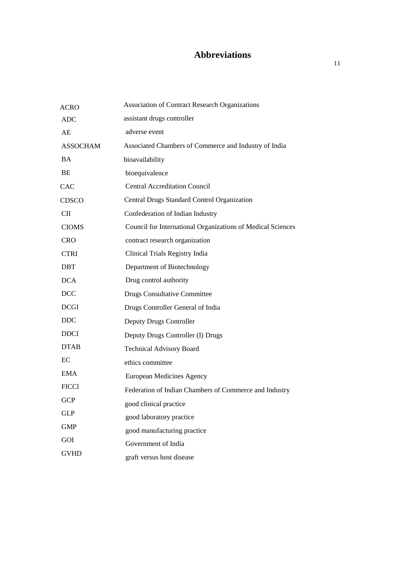## **Abbreviations**

| <b>ACRO</b>     | <b>Association of Contract Research Organizations</b>              |
|-----------------|--------------------------------------------------------------------|
| <b>ADC</b>      | assistant drugs controller                                         |
| AE              | adverse event                                                      |
| <b>ASSOCHAM</b> | Associated Chambers of Commerce and Industry of India              |
| <b>BA</b>       | bioavailability                                                    |
| <b>BE</b>       | bioequivalence                                                     |
| <b>CAC</b>      | <b>Central Accreditation Council</b>                               |
| <b>CDSCO</b>    | <b>Central Drugs Standard Control Organization</b>                 |
| CШ              | Confederation of Indian Industry                                   |
| <b>CIOMS</b>    | <b>Council for International Organizations of Medical Sciences</b> |
| <b>CRO</b>      | contract research organization                                     |
| <b>CTRI</b>     | Clinical Trials Registry India                                     |
| <b>DBT</b>      | Department of Biotechnology                                        |
| <b>DCA</b>      | Drug control authority                                             |
| <b>DCC</b>      | <b>Drugs Consultative Committee</b>                                |
| <b>DCGI</b>     | Drugs Controller General of India                                  |
| <b>DDC</b>      | Deputy Drugs Controller                                            |
| <b>DDCI</b>     | Deputy Drugs Controller (I) Drugs                                  |
| <b>DTAB</b>     | <b>Technical Advisory Board</b>                                    |
| $\rm EC$        | ethics committee                                                   |
| <b>EMA</b>      | European Medicines Agency                                          |
| <b>FICCI</b>    | Federation of Indian Chambers of Commerce and Industry             |
| <b>GCP</b>      | good clinical practice                                             |
| <b>GLP</b>      | good laboratory practice                                           |
| <b>GMP</b>      | good manufacturing practice                                        |
| GOI             | Government of India                                                |
| <b>GVHD</b>     | graft versus host disease                                          |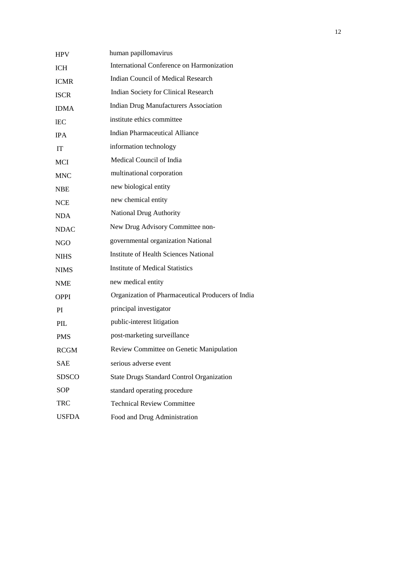| <b>HPV</b>       | human papillomavirus                              |
|------------------|---------------------------------------------------|
| <b>ICH</b>       | International Conference on Harmonization         |
| <b>ICMR</b>      | <b>Indian Council of Medical Research</b>         |
| <b>ISCR</b>      | <b>Indian Society for Clinical Research</b>       |
| <b>IDMA</b>      | <b>Indian Drug Manufacturers Association</b>      |
| <b>IEC</b>       | institute ethics committee                        |
| <b>IPA</b>       | <b>Indian Pharmaceutical Alliance</b>             |
| <b>IT</b>        | information technology                            |
| MCI              | Medical Council of India                          |
| <b>MNC</b>       | multinational corporation                         |
| <b>NBE</b>       | new biological entity                             |
| <b>NCE</b>       | new chemical entity                               |
| <b>NDA</b>       | <b>National Drug Authority</b>                    |
| <b>NDAC</b>      | New Drug Advisory Committee non-                  |
| <b>NGO</b>       | governmental organization National                |
| <b>NIHS</b>      | Institute of Health Sciences National             |
| <b>NIMS</b>      | <b>Institute of Medical Statistics</b>            |
| <b>NME</b>       | new medical entity                                |
| <b>OPPI</b>      | Organization of Pharmaceutical Producers of India |
| PI               | principal investigator                            |
| $\overline{PIL}$ | public-interest litigation                        |
| <b>PMS</b>       | post-marketing surveillance                       |
| <b>RCGM</b>      | Review Committee on Genetic Manipulation          |
| <b>SAE</b>       | serious adverse event                             |
| <b>SDSCO</b>     | <b>State Drugs Standard Control Organization</b>  |
| <b>SOP</b>       | standard operating procedure                      |
| <b>TRC</b>       | <b>Technical Review Committee</b>                 |
| <b>USFDA</b>     | Food and Drug Administration                      |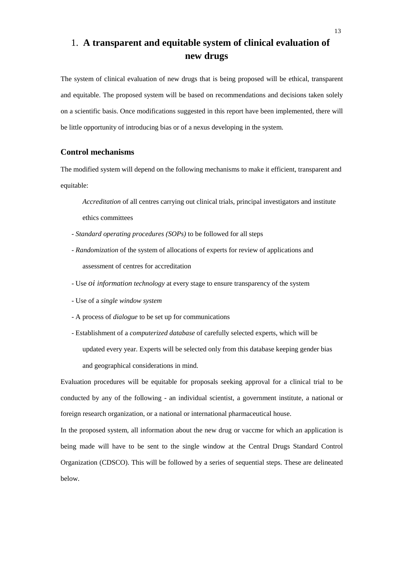## 1. **A transparent and equitable system of clinical evaluation of new drugs**

The system of clinical evaluation of new drugs that is being proposed will be ethical, transparent and equitable. The proposed system will be based on recommendations and decisions taken solely on a scientific basis. Once modifications suggested in this report have been implemented, there will be little opportunity of introducing bias or of a nexus developing in the system.

#### **Control mechanisms**

The modified system will depend on the following mechanisms to make it efficient, transparent and equitable:

*Accreditation* of all centres carrying out clinical trials, principal investigators and institute ethics committees

- *- Standard operating procedures (SOPs)* to be followed for all steps
- *- Randomization* of the system of allocations of experts for review of applications and assessment of centres for accreditation
- Use *oi information technology* at every stage to ensure transparency of the system
- Use of a *single window system*
- A process of *dialogue* to be set up for communications
- Establishment of a *computerized database* of carefully selected experts, which will be updated every year. Experts will be selected only from this database keeping gender bias and geographical considerations in mind.

Evaluation procedures will be equitable for proposals seeking approval for a clinical trial to be conducted by any of the following - an individual scientist, a government institute, a national or foreign research organization, or a national or international pharmaceutical house.

In the proposed system, all information about the new drug or vaccme for which an application is being made will have to be sent to the single window at the Central Drugs Standard Control Organization (CDSCO). This will be followed by a series of sequential steps. These are delineated below.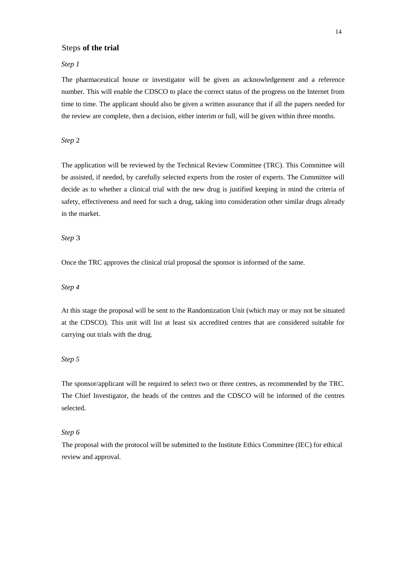#### Steps **of the trial**

#### *Step 1*

The pharmaceutical house or investigator will be given an acknowledgement and a reference number. This will enable the CDSCO to place the correct status of the progress on the Internet from time to time. The applicant should also be given a written assurance that if all the papers needed for the review are complete, then a decision, either interim or full, will be given within three months.

#### *Step* 2

The application will be reviewed by the Technical Review Committee (TRC). This Committee will be assisted, if needed, by carefully selected experts from the roster of experts. The Committee will decide as to whether a clinical trial with the new drug is justified keeping in mind the criteria of safety, effectiveness and need for such a drug, taking into consideration other similar drugs already in the market.

#### *Step* 3

Once the TRC approves the clinical trial proposal the sponsor is informed of the same.

#### *Step 4*

At this stage the proposal will be sent to the Randomization Unit (which may or may not be situated at the CDSCO). This unit will list at least six accredited centres that are considered suitable for carrying out trials with the drug.

#### *Step 5*

The sponsor/applicant will be required to select two or three centres, as recommended by the TRC. The Chief Investigator, the heads of the centres and the CDSCO will be informed of the centres selected.

#### *Step 6*

The proposal with the protocol will be submitted to the Institute Ethics Committee (IEC) for ethical review and approval.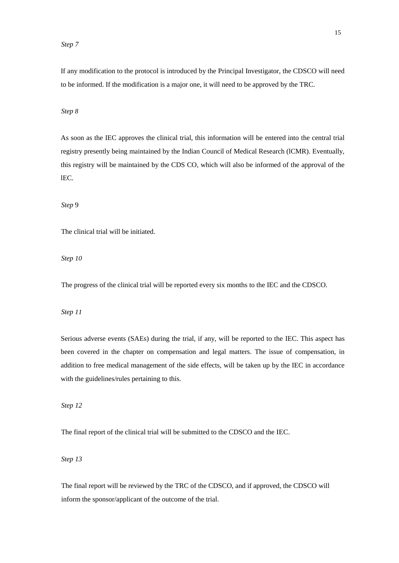#### *Step 7*

If any modification to the protocol is introduced by the Principal Investigator, the CDSCO will need to be informed. If the modification is a major one, it will need to be approved by the TRC.

#### *Step 8*

As soon as the IEC approves the clinical trial, this information will be entered into the central trial registry presently being maintained by the Indian Council of Medical Research (lCMR). Eventually, this registry will be maintained by the CDS CO, which will also be informed of the approval of the lEC.

*Step* 9

The clinical trial will be initiated.

*Step 10* 

The progress of the clinical trial will be reported every six months to the IEC and the CDSCO.

#### *Step 11*

Serious adverse events (SAEs) during the trial, if any, will be reported to the IEC. This aspect has been covered in the chapter on compensation and legal matters. The issue of compensation, in addition to free medical management of the side effects, will be taken up by the IEC in accordance with the guidelines/rules pertaining to this.

*Step 12* 

The final report of the clinical trial will be submitted to the CDSCO and the IEC.

*Step 13* 

The final report will be reviewed by the TRC of the CDSCO, and if approved, the CDSCO will inform the sponsor/applicant of the outcome of the trial.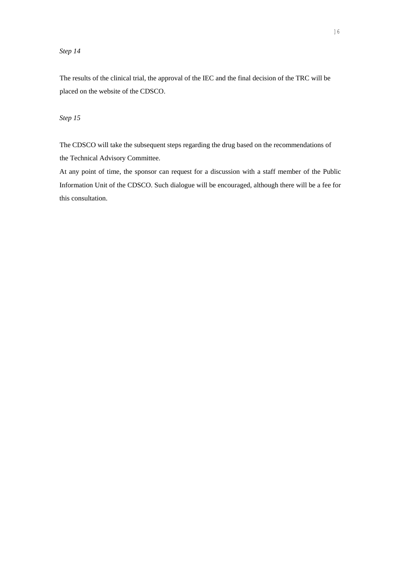#### *Step 14*

The results of the clinical trial, the approval of the IEC and the final decision of the TRC will be placed on the website of the CDSCO.

#### *Step 15*

The CDSCO will take the subsequent steps regarding the drug based on the recommendations of the Technical Advisory Committee.

At any point of time, the sponsor can request for a discussion with a staff member of the Public Information Unit of the CDSCO. Such dialogue will be encouraged, although there will be a fee for this consultation.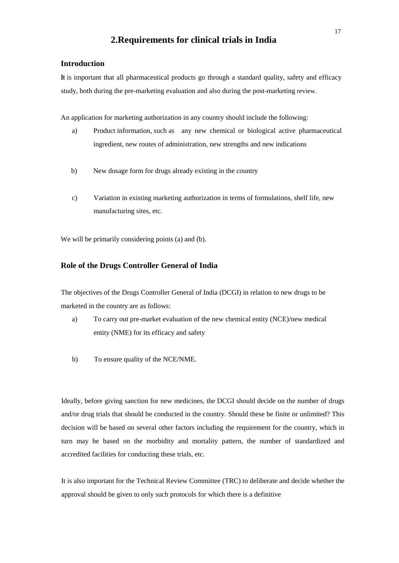#### **2.Requirements for clinical trials in India**

#### **Introduction**

**It** is important that all pharmaceutical products go through a standard quality, safety and efficacy study, both during the pre-marketing evaluation and also during the post-marketing review.

An application for marketing authorization in any country should include the following:

- a) Product information, such as any new chemical or biological active pharmaceutical ingredient, new routes of administration, new strengths and new indications
- b) New dosage form for drugs already existing in the country
- c) Variation in existing marketing authorization in terms of formulations, shelf life, new manufacturing sites, etc.

We will be primarily considering points (a) and (b).

#### **Role of the Drugs Controller General of India**

The objectives of the Drugs Controller General of India (DCGI) in relation to new drugs to be marketed in the country are as follows:

- a) To carry out pre-market evaluation of the new chemical entity (NCE)/new medical entity (NME) for its efficacy and safety
- b) To ensure quality of the NCE/NME.

Ideally, before giving sanction for new medicines, the DCGI should decide on the number of drugs and/or drug trials that should be conducted in the country. Should these be finite or unlimited? This decision will be based on several other factors including the requirement for the country, which in turn may be based on the morbidity and mortality pattern, the number of standardized and accredited facilities for conducting these trials, etc.

It is also important for the Technical Review Committee (TRC) to deliberate and decide whether the approval should be given to only such protocols for which there is a definitive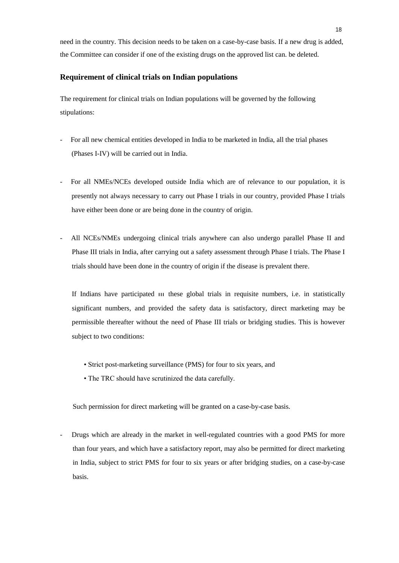need in the country. This decision needs to be taken on a case-by-case basis. If a new drug is added, the Committee can consider if one of the existing drugs on the approved list can. be deleted.

#### **Requirement of clinical trials on Indian populations**

The requirement for clinical trials on Indian populations will be governed by the following stipulations:

- For all new chemical entities developed in India to be marketed in India, all the trial phases (Phases I-IV) will be carried out in India.
- For all NMEs/NCEs developed outside India which are of relevance to our population, it is presently not always necessary to carry out Phase I trials in our country, provided Phase I trials have either been done or are being done in the country of origin.
- All NCEs/NMEs undergoing clinical trials anywhere can also undergo parallel Phase II and Phase III trials in India, after carrying out a safety assessment through Phase I trials. The Phase I trials should have been done in the country of origin if the disease is prevalent there.

If Indians have participated III these global trials in requisite numbers, i.e. in statistically significant numbers, and provided the safety data is satisfactory, direct marketing may be permissible thereafter without the need of Phase III trials or bridging studies. This is however subject to two conditions:

- Strict post-marketing surveillance (PMS) for four to six years, and
- The TRC should have scrutinized the data carefully.

Such permission for direct marketing will be granted on a case-by-case basis.

- Drugs which are already in the market in well-regulated countries with a good PMS for more than four years, and which have a satisfactory report, may also be permitted for direct marketing in India, subject to strict PMS for four to six years or after bridging studies, on a case-by-case basis.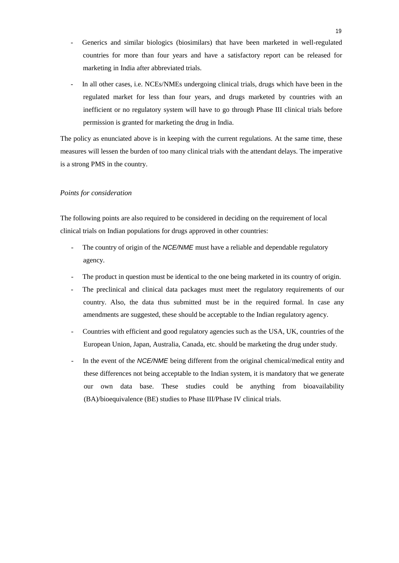- Generics and similar biologics (biosimilars) that have been marketed in well-regulated countries for more than four years and have a satisfactory report can be released for marketing in India after abbreviated trials.
- In all other cases, i.e. NCEs/NMEs undergoing clinical trials, drugs which have been in the regulated market for less than four years, and drugs marketed by countries with an inefficient or no regulatory system will have to go through Phase III clinical trials before permission is granted for marketing the drug in India.

The policy as enunciated above is in keeping with the current regulations. At the same time, these measures will lessen the burden of too many clinical trials with the attendant delays. The imperative is a strong PMS in the country.

#### *Points for consideration*

The following points are also required to be considered in deciding on the requirement of local clinical trials on Indian populations for drugs approved in other countries:

- The country of origin of the *NCE/NME* must have a reliable and dependable regulatory agency.
- The product in question must be identical to the one being marketed in its country of origin.
- The preclinical and clinical data packages must meet the regulatory requirements of our country. Also, the data thus submitted must be in the required formal. In case any amendments are suggested, these should be acceptable to the Indian regulatory agency.
- Countries with efficient and good regulatory agencies such as the USA, UK, countries of the European Union, Japan, Australia, Canada, etc. should be marketing the drug under study.
- In the event of the *NCE/NME* being different from the original chemical/medical entity and these differences not being acceptable to the Indian system, it is mandatory that we generate our own data base. These studies could be anything from bioavailability (BA)/bioequivalence (BE) studies to Phase III/Phase IV clinical trials.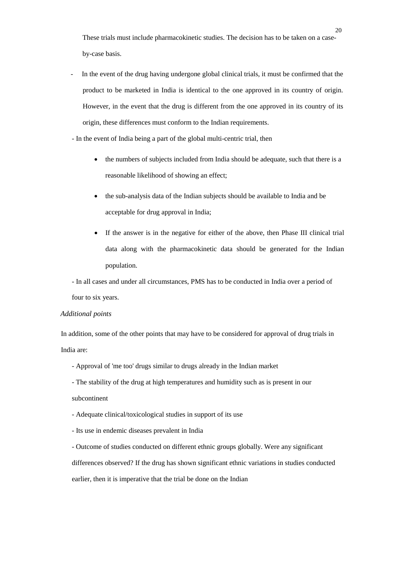These trials must include pharmacokinetic studies. The decision has to be taken on a caseby-case basis.

- In the event of the drug having undergone global clinical trials, it must be confirmed that the product to be marketed in India is identical to the one approved in its country of origin. However, in the event that the drug is different from the one approved in its country of its origin, these differences must conform to the Indian requirements.

- In the event of India being a part of the global multi-centric trial, then

- the numbers of subjects included from India should be adequate, such that there is a reasonable likelihood of showing an effect;
- the sub-analysis data of the Indian subjects should be available to India and be acceptable for drug approval in India;
- If the answer is in the negative for either of the above, then Phase III clinical trial data along with the pharmacokinetic data should be generated for the Indian population.

- In all cases and under all circumstances, PMS has to be conducted in India over a period of four to six years.

#### *Additional points*

In addition, some of the other points that may have to be considered for approval of drug trials in India are:

- Approval of 'me too' drugs similar to drugs already in the Indian market
- The stability of the drug at high temperatures and humidity such as is present in our
- subcontinent
- Adequate clinical/toxicological studies in support of its use
- Its use in endemic diseases prevalent in India

- Outcome of studies conducted on different ethnic groups globally. Were any significant differences observed? If the drug has shown significant ethnic variations in studies conducted earlier, then it is imperative that the trial be done on the Indian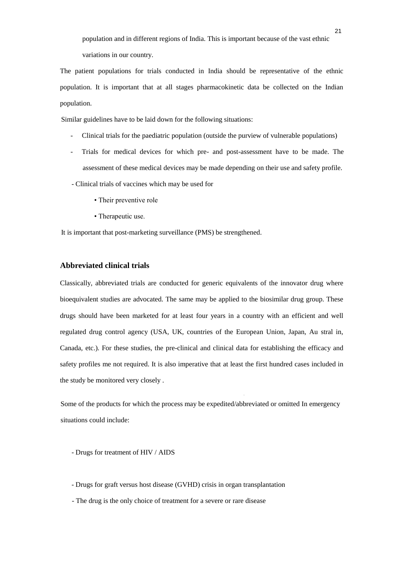population and in different regions of India. This is important because of the vast ethnic variations in our country.

The patient populations for trials conducted in India should be representative of the ethnic population. It is important that at all stages pharmacokinetic data be collected on the Indian population.

Similar guidelines have to be laid down for the following situations:

- Clinical trials for the paediatric population (outside the purview of vulnerable populations)
- Trials for medical devices for which pre- and post-assessment have to be made. The assessment of these medical devices may be made depending on their use and safety profile.
- Clinical trials of vaccines which may be used for
	- Their preventive role
	- Therapeutic use.

It is important that post-marketing surveillance (PMS) be strengthened.

#### **Abbreviated clinical trials**

Classically, abbreviated trials are conducted for generic equivalents of the innovator drug where bioequivalent studies are advocated. The same may be applied to the biosimilar drug group. These drugs should have been marketed for at least four years in a country with an efficient and well regulated drug control agency (USA, UK, countries of the European Union, Japan, Au stral in, Canada, etc.). For these studies, the pre-clinical and clinical data for establishing the efficacy and safety profiles me not required. It is also imperative that at least the first hundred cases included in the study be monitored very closely .

Some of the products for which the process may be expedited/abbreviated or omitted In emergency situations could include:

.

- Drugs for treatment of HIV / AIDS
- Drugs for graft versus host disease (GVHD) crisis in organ transplantation
- The drug is the only choice of treatment for a severe or rare disease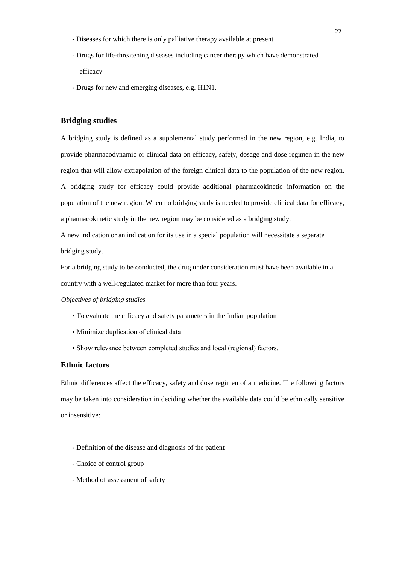- Diseases for which there is only palliative therapy available at present
- Drugs for life-threatening diseases including cancer therapy which have demonstrated efficacy
- Drugs for new and emerging diseases, e.g. H1N1.

#### **Bridging studies**

A bridging study is defined as a supplemental study performed in the new region, e.g. India, to provide pharmacodynamic or clinical data on efficacy, safety, dosage and dose regimen in the new region that will allow extrapolation of the foreign clinical data to the population of the new region. A bridging study for efficacy could provide additional pharmacokinetic information on the population of the new region. When no bridging study is needed to provide clinical data for efficacy, a phannacokinetic study in the new region may be considered as a bridging study.

A new indication or an indication for its use in a special population will necessitate a separate bridging study.

For a bridging study to be conducted, the drug under consideration must have been available in a country with a well-regulated market for more than four years.

#### *Objectives of bridging studies*

- To evaluate the efficacy and safety parameters in the Indian population
- Minimize duplication of clinical data
- Show relevance between completed studies and local (regional) factors.

#### **Ethnic factors**

Ethnic differences affect the efficacy, safety and dose regimen of a medicine. The following factors may be taken into consideration in deciding whether the available data could be ethnically sensitive or insensitive:

- Definition of the disease and diagnosis of the patient
- Choice of control group
- Method of assessment of safety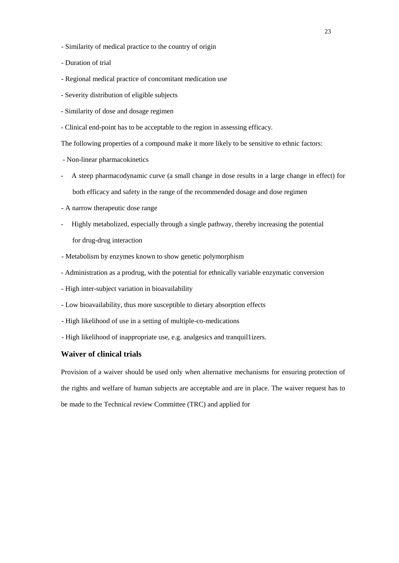- Similarity of medical practice to the country of origin
- Duration of trial
- Regional medical practice of concomitant medication use
- Severity distribution of eligible subjects
- Similarity of dose and dosage regimen
- Clinical end-point has to be acceptable to the region in assessing efficacy.

The following properties of a compound make it more likely to be sensitive to ethnic factors:

- Non-linear pharmacokinetics
- A steep pharmacodynamic curve (a small change in dose results in a large change in effect) for both efficacy and safety in the range of the recommended dosage and dose regimen
- A narrow therapeutic dose range
- Highly metabolized, especially through a single pathway, thereby increasing the potential for drug-drug interaction
- Metabolism by enzymes known to show genetic polymorphism
- Administration as a prodrug, with the potential for ethnically variable enzymatic conversion
- High inter-subject variation in bioavailability
- Low bioavailability, thus more susceptible to dietary absorption effects
- High likelihood of use in a setting of multiple-co-medications
- High likelihood of inappropriate use, e.g. analgesics and tranquil1izers.

#### **Waiver of clinical trials**

Provision of a waiver should be used only when alternative mechanisms for ensuring protection of the rights and welfare of human subjects are acceptable and are in place. The waiver request has to be made to the Technical review Committee (TRC) and applied for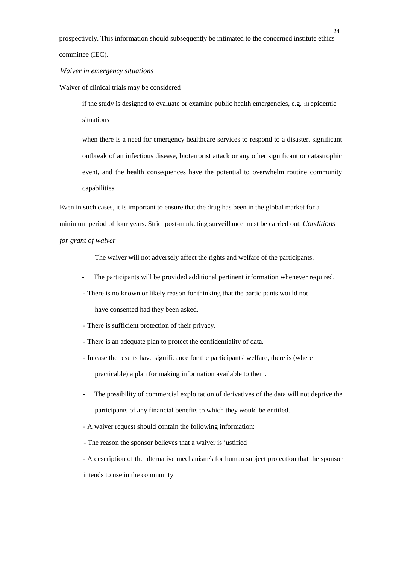prospectively. This information should subsequently be intimated to the concerned institute ethics committee (IEC).

*Waiver in emergency situations* 

Waiver of clinical trials may be considered

if the study is designed to evaluate or examine public health emergencies, e.g. 1ll epidemic situations

when there is a need for emergency healthcare services to respond to a disaster, significant outbreak of an infectious disease, bioterrorist attack or any other significant or catastrophic event, and the health consequences have the potential to overwhelm routine community capabilities.

Even in such cases, it is important to ensure that the drug has been in the global market for a minimum period of four years. Strict post-marketing surveillance must be carried out. *Conditions for grant of waiver* 

The waiver will not adversely affect the rights and welfare of the participants.

- The participants will be provided additional pertinent information whenever required.
- There is no known or likely reason for thinking that the participants would not

have consented had they been asked.

- There is sufficient protection of their privacy.
- There is an adequate plan to protect the confidentiality of data.
- In case the results have significance for the participants' welfare, there is (where practicable) a plan for making information available to them.
- The possibility of commercial exploitation of derivatives of the data will not deprive the participants of any financial benefits to which they would be entitled.
- A waiver request should contain the following information:
- The reason the sponsor believes that a waiver is justified

- A description of the alternative mechanism/s for human subject protection that the sponsor intends to use in the community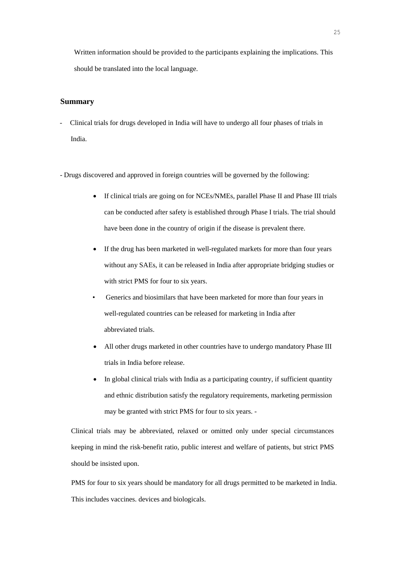Written information should be provided to the participants explaining the implications. This should be translated into the local language.

#### **Summary**

- Clinical trials for drugs developed in India will have to undergo all four phases of trials in India.
- Drugs discovered and approved in foreign countries will be governed by the following:
	- If clinical trials are going on for NCEs/NMEs, parallel Phase II and Phase III trials can be conducted after safety is established through Phase I trials. The trial should have been done in the country of origin if the disease is prevalent there.
	- If the drug has been marketed in well-regulated markets for more than four years without any SAEs, it can be released in India after appropriate bridging studies or with strict PMS for four to six years.
	- Generics and biosimilars that have been marketed for more than four years in well-regulated countries can be released for marketing in India after abbreviated trials.
	- All other drugs marketed in other countries have to undergo mandatory Phase III trials in India before release.
	- In global clinical trials with India as a participating country, if sufficient quantity and ethnic distribution satisfy the regulatory requirements, marketing permission may be granted with strict PMS for four to six years. -

Clinical trials may be abbreviated, relaxed or omitted only under special circumstances keeping in mind the risk-benefit ratio, public interest and welfare of patients, but strict PMS should be insisted upon.

PMS for four to six years should be mandatory for all drugs permitted to be marketed in India. This includes vaccines. devices and biologicals.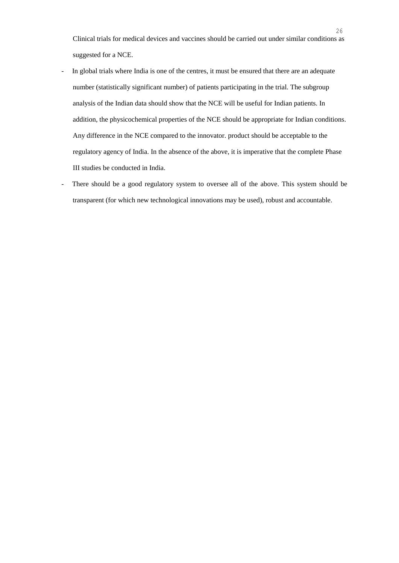Clinical trials for medical devices and vaccines should be carried out under similar conditions as suggested for a NCE.

- In global trials where India is one of the centres, it must be ensured that there are an adequate number (statistically significant number) of patients participating in the trial. The subgroup analysis of the Indian data should show that the NCE will be useful for Indian patients. In addition, the physicochemical properties of the NCE should be appropriate for Indian conditions. Any difference in the NCE compared to the innovator. product should be acceptable to the regulatory agency of India. In the absence of the above, it is imperative that the complete Phase III studies be conducted in India.
- There should be a good regulatory system to oversee all of the above. This system should be transparent (for which new technological innovations may be used), robust and accountable.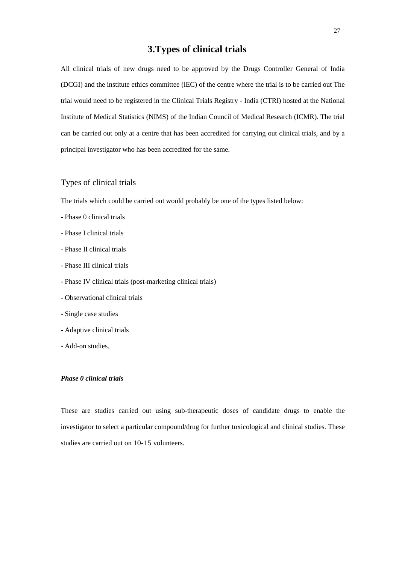## **3.Types of clinical trials**

All clinical trials of new drugs need to be approved by the Drugs Controller General of India (DCGI) and the institute ethics committee (lEC) of the centre where the trial is to be carried out The trial would need to be registered in the Clinical Trials Registry - India (CTRI) hosted at the National Institute of Medical Statistics (NIMS) of the Indian Council of Medical Research (ICMR). The trial can be carried out only at a centre that has been accredited for carrying out clinical trials, and by a principal investigator who has been accredited for the same.

#### Types of clinical trials

The trials which could be carried out would probably be one of the types listed below:

- Phase 0 clinical trials
- Phase I clinical trials
- Phase II clinical trials
- Phase III clinical trials
- Phase IV clinical trials (post-marketing clinical trials)
- Observational clinical trials
- Single case studies
- Adaptive clinical trials
- Add-on studies.

#### *Phase 0 clinical trials*

These are studies carried out using sub-therapeutic doses of candidate drugs to enable the investigator to select a particular compound/drug for further toxicological and clinical studies. These studies are carried out on 10-15 volunteers.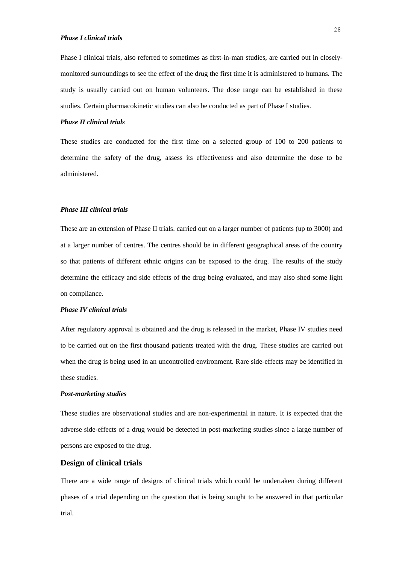Phase I clinical trials, also referred to sometimes as first-in-man studies, are carried out in closelymonitored surroundings to see the effect of the drug the first time it is administered to humans. The study is usually carried out on human volunteers. The dose range can be established in these studies. Certain pharmacokinetic studies can also be conducted as part of Phase I studies.

#### *Phase II clinical trials*

These studies are conducted for the first time on a selected group of 100 to 200 patients to determine the safety of the drug, assess its effectiveness and also determine the dose to be administered.

#### *Phase III clinical trials*

These are an extension of Phase II trials. carried out on a larger number of patients (up to 3000) and at a larger number of centres. The centres should be in different geographical areas of the country so that patients of different ethnic origins can be exposed to the drug. The results of the study determine the efficacy and side effects of the drug being evaluated, and may also shed some light on compliance.

#### *Phase IV clinical trials*

After regulatory approval is obtained and the drug is released in the market, Phase IV studies need to be carried out on the first thousand patients treated with the drug. These studies are carried out when the drug is being used in an uncontrolled environment. Rare side-effects may be identified in these studies.

#### *Post-marketing studies*

These studies are observational studies and are non-experimental in nature. It is expected that the adverse side-effects of a drug would be detected in post-marketing studies since a large number of persons are exposed to the drug.

#### **Design of clinical trials**

There are a wide range of designs of clinical trials which could be undertaken during different phases of a trial depending on the question that is being sought to be answered in that particular trial.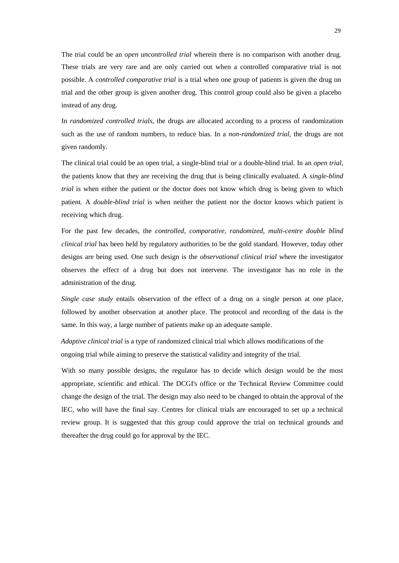The trial could be an *open uncontrolled trial* wherein there is no comparison with another drug. These trials are very rare and are only carried out when a controlled comparative trial is not possible. A *controlled comparative trial* is a trial when one group of patients is given the drug on trial and the other group is given another drug. This control group could also be given a placebo instead of any drug.

In *randomized controlled trials,* the drugs are allocated according to a process of randomization such as the use of random numbers, to reduce bias. In a *non-randomized trial,* the drugs are not given randomly.

The clinical trial could be an open trial, a single-blind trial or a double-blind trial. In an *open trial,*  the patients know that they are receiving the drug that is being clinically evaluated. A *single-blind trial* is when either the patient or the doctor does not know which drug is being given to which patient. A *double-blind trial* is when neither the patient nor the doctor knows which patient is receiving which drug.

For the past few decades, the *controlled, comparative, randomized, multi-centre double blind clinical trial* has been held by regulatory authorities to be the gold standard. However, today other designs are being used. One such design is the *observational clinical trial* where the investigator observes the effect of a drug but does not intervene. The investigator has no role in the administration of the drug.

*Single case study* entails observation of the effect of a drug on a single person at one place, followed by another observation at another place. The protocol and recording of the data is the same. In this way, a large number of patients make up an adequate sample.

*Adaptive clinical trial* is a type of randomized clinical trial which allows modifications of the ongoing trial while aiming to preserve the statistical validity and integrity of the trial.

With so many possible designs, the regulator has to decide which design would be the most appropriate, scientific and ethical. The DCGI's office or the Technical Review Committee could change the design of the trial. The design may also need to be changed to obtain the approval of the lEC, who will have the final say. Centres for clinical trials are encouraged to set up a technical review group. It is suggested that this group could approve the trial on technical grounds and thereafter the drug could go for approval by the IEC.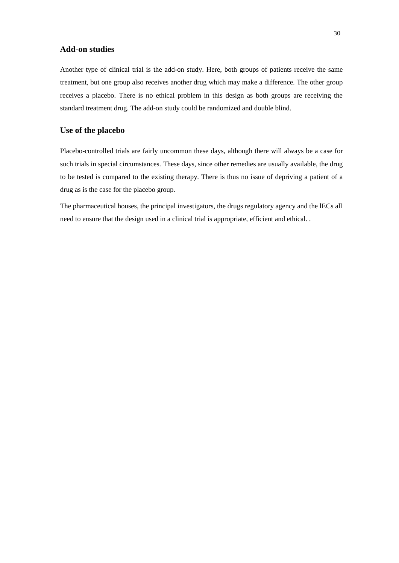#### **Add-on studies**

Another type of clinical trial is the add-on study. Here, both groups of patients receive the same treatment, but one group also receives another drug which may make a difference. The other group receives a placebo. There is no ethical problem in this design as both groups are receiving the standard treatment drug. The add-on study could be randomized and double blind.

#### **Use of the placebo**

Placebo-controlled trials are fairly uncommon these days, although there will always be a case for such trials in special circumstances. These days, since other remedies are usually available, the drug to be tested is compared to the existing therapy. There is thus no issue of depriving a patient of a drug as is the case for the placebo group.

The pharmaceutical houses, the principal investigators, the drugs regulatory agency and the lECs all need to ensure that the design used in a clinical trial is appropriate, efficient and ethical. .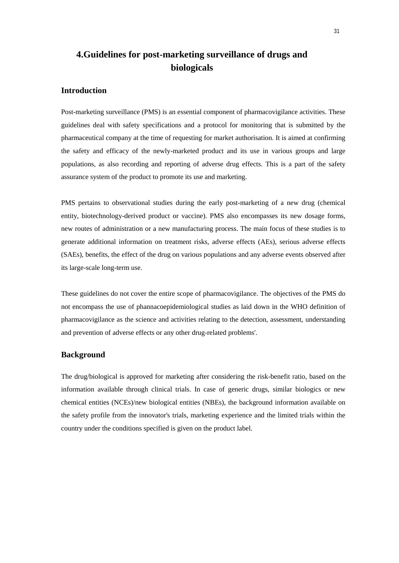## **4.Guidelines for post-marketing surveillance of drugs and biologicals**

#### **Introduction**

Post-marketing surveillance (PMS) is an essential component of pharmacovigilance activities. These guidelines deal with safety specifications and a protocol for monitoring that is submitted by the pharmaceutical company at the time of requesting for market authorisation. It is aimed at confirming the safety and efficacy of the newly-marketed product and its use in various groups and large populations, as also recording and reporting of adverse drug effects. This is a part of the safety assurance system of the product to promote its use and marketing.

PMS pertains to observational studies during the early post-marketing of a new drug (chemical entity, biotechnology-derived product or vaccine). PMS also encompasses its new dosage forms, new routes of administration or a new manufacturing process. The main focus of these studies is to generate additional information on treatment risks, adverse effects (AEs), serious adverse effects (SAEs), benefits, the effect of the drug on various populations and any adverse events observed after its large-scale long-term use.

These guidelines do not cover the entire scope of pharmacovigilance. The objectives of the PMS do not encompass the use of phannacoepidemiological studies as laid down in the WHO definition of pharmacovigilance as the science and activities relating to the detection, assessment, understanding and prevention of adverse effects or any other drug-related problems'.

#### **Background**

The drug/biological is approved for marketing after considering the risk-benefit ratio, based on the information available through clinical trials. In case of generic drugs, similar biologics or new chemical entities (NCEs)/new biological entities (NBEs), the background information available on the safety profile from the innovator's trials, marketing experience and the limited trials within the country under the conditions specified is given on the product label.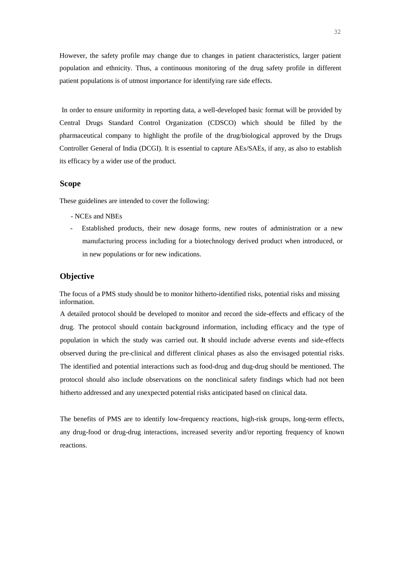However, the safety profile may change due to changes in patient characteristics, larger patient population and ethnicity. Thus, a continuous monitoring of the drug safety profile in different patient populations is of utmost importance for identifying rare side effects.

In order to ensure uniformity in reporting data, a well-developed basic format will be provided by Central Drugs Standard Control Organization (CDSCO) which should be filled by the pharmaceutical company to highlight the profile of the drug/biological approved by the Drugs Controller General of India (DCGI). It is essential to capture AEs/SAEs, if any, as also to establish its efficacy by a wider use of the product.

#### **Scope**

These guidelines are intended to cover the following:

- NCEs and NBEs
- Established products, their new dosage forms, new routes of administration or a new manufacturing process including for a biotechnology derived product when introduced, or in new populations or for new indications.

#### **Objective**

The focus of a PMS study should be to monitor hitherto-identified risks, potential risks and missing information.

A detailed protocol should be developed to monitor and record the side-effects and efficacy of the drug. The protocol should contain background information, including efficacy and the type of population in which the study was carried out. **It** should include adverse events and side-effects observed during the pre-clinical and different clinical phases as also the envisaged potential risks. The identified and potential interactions such as food-drug and dug-drug should be mentioned. The protocol should also include observations on the nonclinical safety findings which had not been hitherto addressed and any unexpected potential risks anticipated based on clinical data.

The benefits of PMS are to identify low-frequency reactions, high-risk groups, long-term effects, any drug-food or drug-drug interactions, increased severity and/or reporting frequency of known reactions.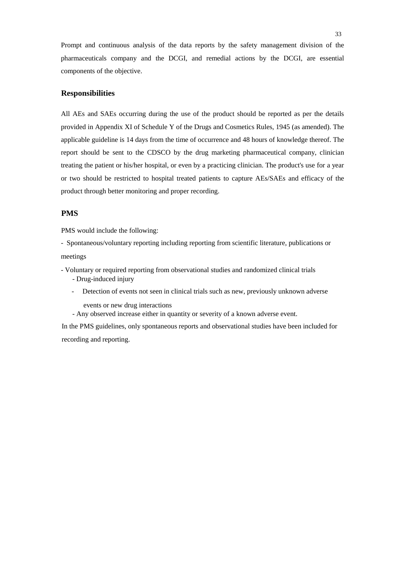Prompt and continuous analysis of the data reports by the safety management division of the pharmaceuticals company and the DCGI, and remedial actions by the DCGI, are essential components of the objective.

#### **Responsibilities**

All AEs and SAEs occurring during the use of the product should be reported as per the details provided in Appendix XI of Schedule Y of the Drugs and Cosmetics Rules, 1945 (as amended). The applicable guideline is 14 days from the time of occurrence and 48 hours of knowledge thereof. The report should be sent to the CDSCO by the drug marketing pharmaceutical company, clinician treating the patient or his/her hospital, or even by a practicing clinician. The product's use for a year or two should be restricted to hospital treated patients to capture AEs/SAEs and efficacy of the product through better monitoring and proper recording.

#### **PMS**

PMS would include the following:

- Spontaneous/voluntary reporting including reporting from scientific literature, publications or

meetings

- Voluntary or required reporting from observational studies and randomized clinical trials - Drug-induced injury
	- Detection of events not seen in clinical trials such as new, previously unknown adverse
		- events or new drug interactions
	- Any observed increase either in quantity or severity of a known adverse event.

In the PMS guidelines, only spontaneous reports and observational studies have been included for recording and reporting.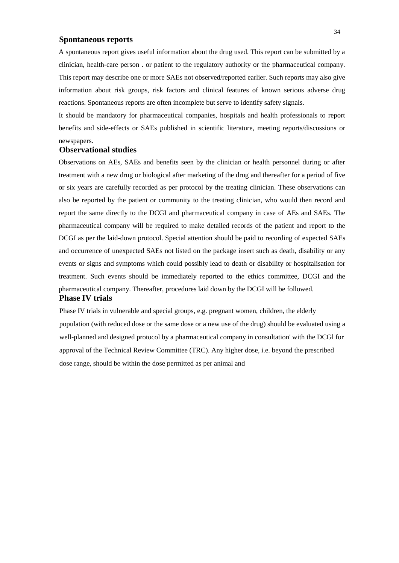# **Spontaneous reports**

A spontaneous report gives useful information about the drug used. This report can be submitted by a clinician, health-care person . or patient to the regulatory authority or the pharmaceutical company. This report may describe one or more SAEs not observed/reported earlier. Such reports may also give information about risk groups, risk factors and clinical features of known serious adverse drug reactions. Spontaneous reports are often incomplete but serve to identify safety signals.

It should be mandatory for pharmaceutical companies, hospitals and health professionals to report benefits and side-effects or SAEs published in scientific literature, meeting reports/discussions or

## newspapers. **Observational studies**

Observations on AEs, SAEs and benefits seen by the clinician or health personnel during or after treatment with a new drug or biological after marketing of the drug and thereafter for a period of five or six years are carefully recorded as per protocol by the treating clinician. These observations can also be reported by the patient or community to the treating clinician, who would then record and report the same directly to the DCGI and pharmaceutical company in case of AEs and SAEs. The pharmaceutical company will be required to make detailed records of the patient and report to the DCGI as per the laid-down protocol. Special attention should be paid to recording of expected SAEs and occurrence of unexpected SAEs not listed on the package insert such as death, disability or any events or signs and symptoms which could possibly lead to death or disability or hospitalisation for treatment. Such events should be immediately reported to the ethics committee, DCGI and the pharmaceutical company. Thereafter, procedures laid down by the DCGI will be followed. **Phase IV trials** 

Phase IV trials in vulnerable and special groups, e.g. pregnant women, children, the elderly population (with reduced dose or the same dose or a new use of the drug) should be evaluated using a well-planned and designed protocol by a pharmaceutical company in consultation' with the DCGl for approval of the Technical Review Committee (TRC). Any higher dose, i.e. beyond the prescribed dose range, should be within the dose permitted as per animal and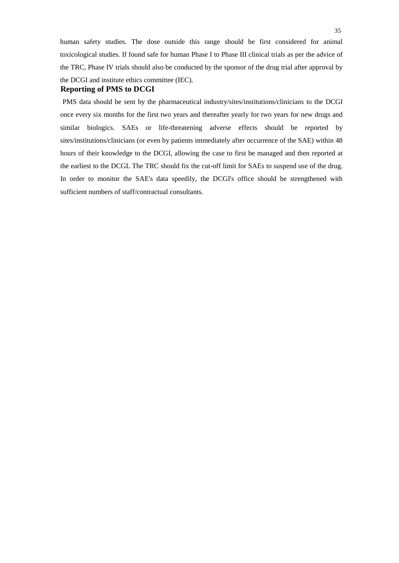human safety studies. The dose outside this range should be first considered for animal toxicological studies. If found safe for human Phase I to Phase III clinical trials as per the advice of the TRC, Phase IV trials should also be conducted by the sponsor of the drug trial after approval by the DCGI and institute ethics committee (IEC).

#### **Reporting of PMS to DCGI**

PMS data should be sent by the pharmaceutical industry/sites/institutions/clinicians to the DCGI once every six months for the first two years and thereafter yearly for two years for new drugs and similar biologics. SAEs or life-threatening adverse effects should be reported by sites/institutions/clinicians (or even by patients immediately after occurrence of the SAE) within 48 hours of their knowledge to the DCGI, allowing the case to first be managed and then reported at the earliest to the DCGL The TRC should fix the cut-off limit for SAEs to suspend use of the drug. In order to monitor the SAE's data speedily, the DCGI's office should be strengthened with sufficient numbers of staff/contractual consultants.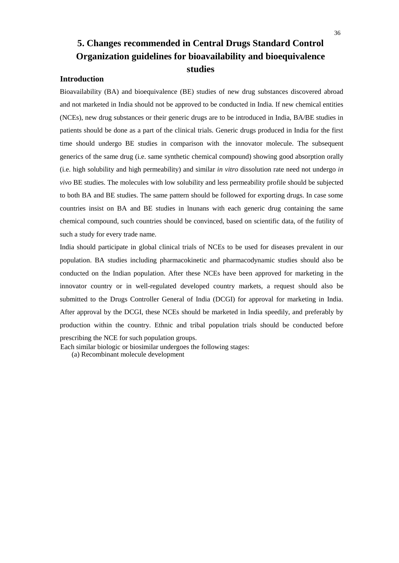# **5. Changes recommended in Central Drugs Standard Control Organization guidelines for bioavailability and bioequivalence studies**

# **Introduction**

Bioavailability (BA) and bioequivalence (BE) studies of new drug substances discovered abroad and not marketed in India should not be approved to be conducted in India. If new chemical entities (NCEs), new drug substances or their generic drugs are to be introduced in India, BA/BE studies in patients should be done as a part of the clinical trials. Generic drugs produced in India for the first time should undergo BE studies in comparison with the innovator molecule. The subsequent generics of the same drug (i.e. same synthetic chemical compound) showing good absorption orally (i.e. high solubility and high permeability) and similar *in vitro* dissolution rate need not undergo *in vivo* BE studies. The molecules with low solubility and less permeability profile should be subjected to both BA and BE studies. The same pattern should be followed for exporting drugs. In case some countries insist on BA and BE studies in lnunans with each generic drug containing the same chemical compound, such countries should be convinced, based on scientific data, of the futility of such a study for every trade name.

India should participate in global clinical trials of NCEs to be used for diseases prevalent in our population. BA studies including pharmacokinetic and pharmacodynamic studies should also be conducted on the Indian population. After these NCEs have been approved for marketing in the innovator country or in well-regulated developed country markets, a request should also be submitted to the Drugs Controller General of India (DCGI) for approval for marketing in India. After approval by the DCGI, these NCEs should be marketed in India speedily, and preferably by production within the country. Ethnic and tribal population trials should be conducted before prescribing the NCE for such population groups.

Each similar biologic or biosimilar undergoes the following stages:

(a) Recombinant molecule development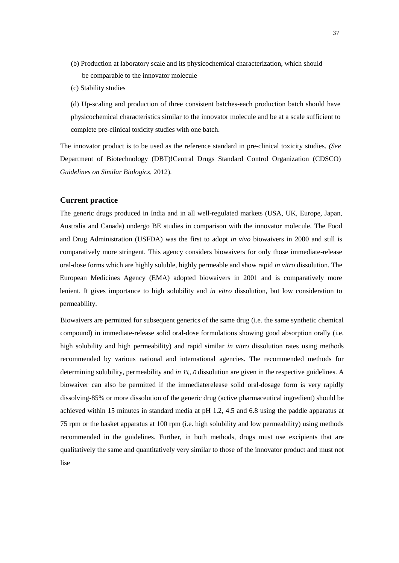- (b) Production at laboratory scale and its physicochemical characterization, which should be comparable to the innovator molecule
- (c) Stability studies

(d) Up-scaling and production of three consistent batches-each production batch should have physicochemical characteristics similar to the innovator molecule and be at a scale sufficient to complete pre-clinical toxicity studies with one batch.

The innovator product is to be used as the reference standard in pre-clinical toxicity studies. *(See*  Department of Biotechnology (DBT)!Central Drugs Standard Control Organization (CDSCO) *Guidelines on Similar Biologics,* 2012).

## **Current practice**

The generic drugs produced in India and in all well-regulated markets (USA, UK, Europe, Japan, Australia and Canada) undergo BE studies in comparison with the innovator molecule. The Food and Drug Administration (USFDA) was the first to adopt *in vivo* biowaivers in 2000 and still is comparatively more stringent. This agency considers biowaivers for only those immediate-release oral-dose forms which are highly soluble, highly permeable and show rapid *in vitro* dissolution. The European Medicines Agency (EMA) adopted biowaivers in 2001 and is comparatively more lenient. It gives importance to high solubility and *in vitro* dissolution, but low consideration to permeability.

Biowaivers are permitted for subsequent generics of the same drug (i.e. the same synthetic chemical compound) in immediate-release solid oral-dose formulations showing good absorption orally (i.e. high solubility and high permeability) and rapid similar *in vitro* dissolution rates using methods recommended by various national and international agencies. The recommended methods for determining solubility, permeability and *in 1'i,,.0* dissolution are given in the respective guidelines. A biowaiver can also be permitted if the immediaterelease solid oral-dosage form is very rapidly dissolving-85% or more dissolution of the generic drug (active pharmaceutical ingredient) should be achieved within 15 minutes in standard media at pH 1.2, 4.5 and 6.8 using the paddle apparatus at 75 rpm or the basket apparatus at 100 rpm (i.e. high solubility and low permeability) using methods recommended in the guidelines. Further, in both methods, drugs must use excipients that are qualitatively the same and quantitatively very similar to those of the innovator product and must not lise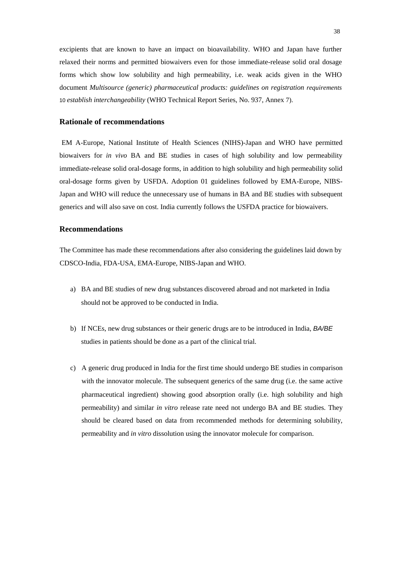excipients that are known to have an impact on bioavailability. WHO and Japan have further relaxed their norms and permitted biowaivers even for those immediate-release solid oral dosage forms which show low solubility and high permeability, i.e. weak acids given in the WHO document *Multisource (generic) pharmaceutical products: guidelines on registration requirements*  10 *establish interchangeability* (WHO Technical Report Series, No. 937, Annex 7).

# **Rationale of recommendations**

EM A-Europe, National Institute of Health Sciences (NIHS)-Japan and WHO have permitted biowaivers for *in vivo* BA and BE studies in cases of high solubility and low permeability immediate-release solid oral-dosage forms, in addition to high solubility and high permeability solid oral-dosage forms given by USFDA. Adoption 01 guidelines followed by EMA-Europe, NIBS-Japan and WHO will reduce the unnecessary use of humans in BA and BE studies with subsequent generics and will also save on cost. India currently follows the USFDA practice for biowaivers.

#### **Recommendations**

The Committee has made these recommendations after also considering the guidelines laid down by CDSCO-India, FDA-USA, EMA-Europe, NIBS-Japan and WHO.

- a) BA and BE studies of new drug substances discovered abroad and not marketed in India should not be approved to be conducted in India.
- b) If NCEs, new drug substances or their generic drugs are to be introduced in India, *BA/BE*  studies in patients should be done as a part of the clinical trial.
- c) A generic drug produced in India for the first time should undergo BE studies in comparison with the innovator molecule. The subsequent generics of the same drug (i.e. the same active pharmaceutical ingredient) showing good absorption orally (i.e. high solubility and high permeability) and similar *in vitro* release rate need not undergo BA and BE studies. They should be cleared based on data from recommended methods for determining solubility, permeability and *in vitro* dissolution using the innovator molecule for comparison.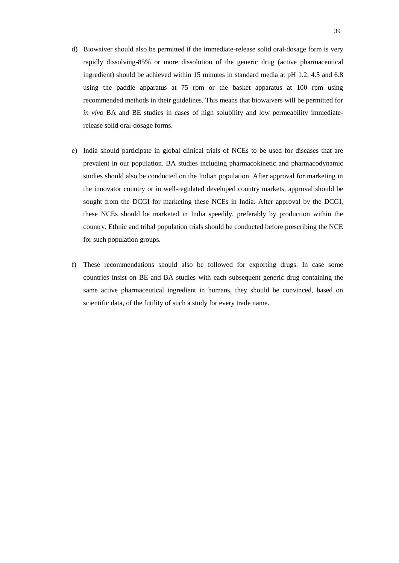- d) Biowaiver should also be permitted if the immediate-release solid oral-dosage form is very rapidly dissolving-85% or more dissolution of the generic drug (active pharmaceutical ingredient) should be achieved within 15 minutes in standard media at pH 1.2, 4.5 and 6.8 using the paddle apparatus at 75 rpm or the basket apparatus at 100 rpm using recommended methods in their guidelines. This means that biowaivers will be permitted for *in vivo* BA and BE studies in cases of high solubility and low permeability immediaterelease solid oral-dosage forms.
- e) India should participate in global clinical trials of NCEs to be used for diseases that are prevalent in our population. BA studies including pharmacokinetic and pharmacodynamic studies should also be conducted on the Indian population. After approval for marketing in the innovator country or in well-regulated developed country markets, approval should be sought from the DCGI for marketing these NCEs in India. After approval by the DCGI, these NCEs should be marketed in India speedily, preferably by production within the country. Ethnic and tribal population trials should be conducted before prescribing the NCE for such population groups.
- f) These recommendations should also be followed for exporting drugs. In case some countries insist on BE and BA studies with each subsequent generic drug containing the same active pharmaceutical ingredient in humans, they should be convinced, based on scientific data, of the futility of such a study for every trade name.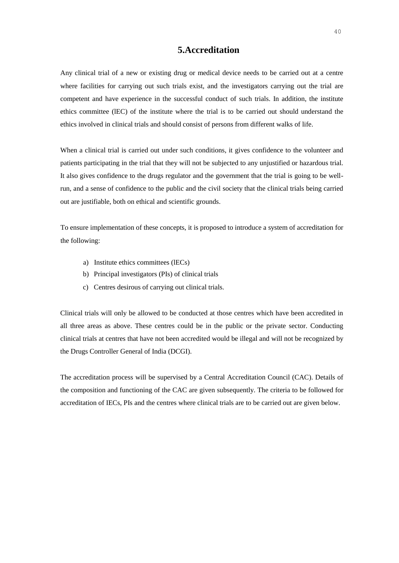# **5.Accreditation**

Any clinical trial of a new or existing drug or medical device needs to be carried out at a centre where facilities for carrying out such trials exist, and the investigators carrying out the trial are competent and have experience in the successful conduct of such trials. In addition, the institute ethics committee (lEC) of the institute where the trial is to be carried out should understand the ethics involved in clinical trials and should consist of persons from different walks of life.

When a clinical trial is carried out under such conditions, it gives confidence to the volunteer and patients participating in the trial that they will not be subjected to any unjustified or hazardous trial. It also gives confidence to the drugs regulator and the government that the trial is going to be wellrun, and a sense of confidence to the public and the civil society that the clinical trials being carried out are justifiable, both on ethical and scientific grounds.

To ensure implementation of these concepts, it is proposed to introduce a system of accreditation for the following:

- a) Institute ethics committees (lECs)
- b) Principal investigators (PIs) of clinical trials
- c) Centres desirous of carrying out clinical trials.

Clinical trials will only be allowed to be conducted at those centres which have been accredited in all three areas as above. These centres could be in the public or the private sector. Conducting clinical trials at centres that have not been accredited would be illegal and will not be recognized by the Drugs Controller General of India (DCGI).

The accreditation process will be supervised by a Central Accreditation Council (CAC). Details of the composition and functioning of the CAC are given subsequently. The criteria to be followed for accreditation of IECs, PIs and the centres where clinical trials are to be carried out are given below.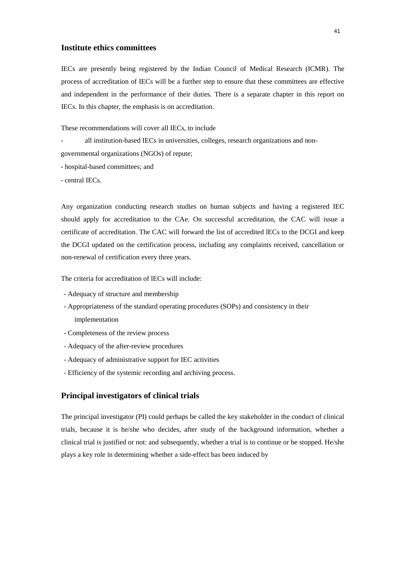# **Institute ethics committees**

IECs are presently being registered by the Indian Council of Medical Research (ICMR). The process of accreditation of IECs will be a further step to ensure that these committees are effective and independent in the performance of their duties. There is a separate chapter in this report on IECs. In this chapter, the emphasis is on accreditation.

These recommendations will cover all IECs, to include

all institution-based IECs in universities, colleges, research organizations and nongovernmental organizations (NGOs) of repute;

- hospital-based committees; and

- central IECs.

Any organization conducting research studies on human subjects and having a registered IEC should apply for accreditation to the CAe. On successful accreditation, the CAC will issue a certificate of accreditation. The CAC will forward the list of accredited lECs to the DCGI and keep the DCGI updated on the certification process, including any complaints received, cancellation or non-renewal of certification every three years.

The criteria for accreditation of lECs will include:

- Adequacy of structure and membership
- Appropriateness of the standard operating procedures (SOPs) and consistency in their implementation
- Completeness of the review process
- Adequacy of the after-review procedures
- Adequacy of administrative support for IEC activities
- Efficiency of the systemic recording and archiving process.

# **Principal investigators of clinical trials**

The principal investigator (PI) could perhaps be called the key stakeholder in the conduct of clinical trials, because it is he/she who decides, after study of the background information, whether a clinical trial is justified or not: and subsequently, whether a trial is to continue or be stopped. He/she plays a key role in determining whether a side-effect has been induced by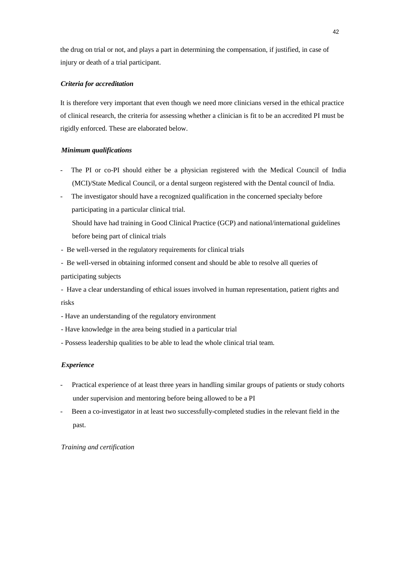the drug on trial or not, and plays a part in determining the compensation, if justified, in case of injury or death of a trial participant.

## *Criteria for accreditation*

It is therefore very important that even though we need more clinicians versed in the ethical practice of clinical research, the criteria for assessing whether a clinician is fit to be an accredited PI must be rigidly enforced. These are elaborated below.

# *Minimum qualifications*

- The PI or co-PI should either be a physician registered with the Medical Council of India (MCI)/State Medical Council, or a dental surgeon registered with the Dental council of India.
- The investigator should have a recognized qualification in the concerned specialty before participating in a particular clinical trial.
	- Should have had training in Good Clinical Practice (GCP) and national/international guidelines before being part of clinical trials
- Be well-versed in the regulatory requirements for clinical trials
- Be well-versed in obtaining informed consent and should be able to resolve all queries of participating subjects
- Have a clear understanding of ethical issues involved in human representation, patient rights and risks
- Have an understanding of the regulatory environment
- Have knowledge in the area being studied in a particular trial
- Possess leadership qualities to be able to lead the whole clinical trial team.

## *Experience*

- Practical experience of at least three years in handling similar groups of patients or study cohorts under supervision and mentoring before being allowed to be a PI
- Been a co-investigator in at least two successfully-completed studies in the relevant field in the past.

*Training and certification*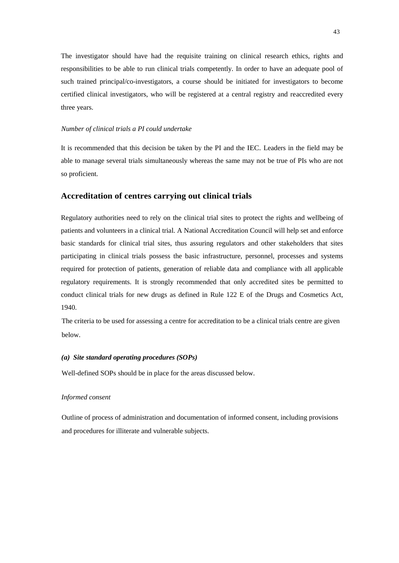The investigator should have had the requisite training on clinical research ethics, rights and responsibilities to be able to run clinical trials competently. In order to have an adequate pool of such trained principal/co-investigators, a course should be initiated for investigators to become certified clinical investigators, who will be registered at a central registry and reaccredited every three years.

#### *Number of clinical trials a PI could undertake*

It is recommended that this decision be taken by the PI and the IEC. Leaders in the field may be able to manage several trials simultaneously whereas the same may not be true of PIs who are not so proficient.

## **Accreditation of centres carrying out clinical trials**

Regulatory authorities need to rely on the clinical trial sites to protect the rights and wellbeing of patients and volunteers in a clinical trial. A National Accreditation Council will help set and enforce basic standards for clinical trial sites, thus assuring regulators and other stakeholders that sites participating in clinical trials possess the basic infrastructure, personnel, processes and systems required for protection of patients, generation of reliable data and compliance with all applicable regulatory requirements. It is strongly recommended that only accredited sites be permitted to conduct clinical trials for new drugs as defined in Rule 122 E of the Drugs and Cosmetics Act, 1940.

The criteria to be used for assessing a centre for accreditation to be a clinical trials centre are given below.

#### *(a) Site standard operating procedures (SOPs)*

Well-defined SOPs should be in place for the areas discussed below.

#### *Informed consent*

Outline of process of administration and documentation of informed consent, including provisions and procedures for illiterate and vulnerable subjects.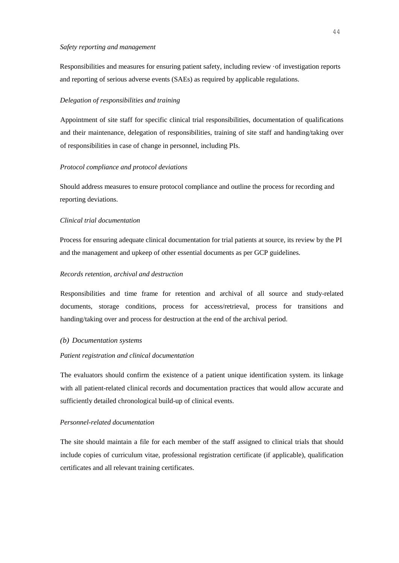#### *Safety reporting and management*

Responsibilities and measures for ensuring patient safety, including review ·of investigation reports and reporting of serious adverse events (SAEs) as required by applicable regulations.

#### *Delegation of responsibilities and training*

Appointment of site staff for specific clinical trial responsibilities, documentation of qualifications and their maintenance, delegation of responsibilities, training of site staff and handing/taking over of responsibilities in case of change in personnel, including PIs.

#### *Protocol compliance and protocol deviations*

Should address measures to ensure protocol compliance and outline the process for recording and reporting deviations.

#### *Clinical trial documentation*

Process for ensuring adequate clinical documentation for trial patients at source, its review by the PI and the management and upkeep of other essential documents as per GCP guidelines.

# *Records retention, archival and destruction*

Responsibilities and time frame for retention and archival of all source and study-related documents, storage conditions, process for access/retrieval, process for transitions and handing/taking over and process for destruction at the end of the archival period.

#### *(b) Documentation systems*

#### *Patient registration and clinical documentation*

The evaluators should confirm the existence of a patient unique identification system. its linkage with all patient-related clinical records and documentation practices that would allow accurate and sufficiently detailed chronological build-up of clinical events.

#### *Personnel-related documentation*

The site should maintain a file for each member of the staff assigned to clinical trials that should include copies of curriculum vitae, professional registration certificate (if applicable), qualification certificates and all relevant training certificates.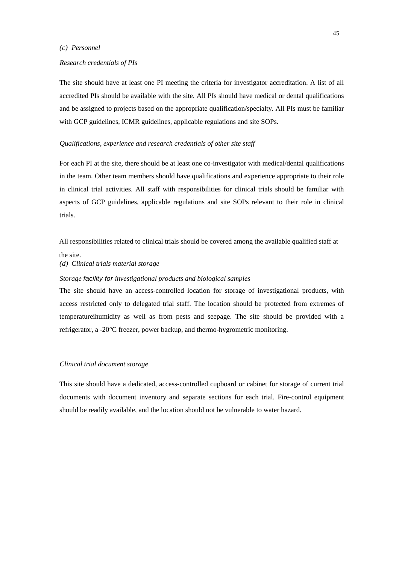## *(c) Personnel*

#### *Research credentials of PIs*

The site should have at least one PI meeting the criteria for investigator accreditation. A list of all accredited PIs should be available with the site. All PIs should have medical or dental qualifications and be assigned to projects based on the appropriate qualification/specialty. All PIs must be familiar with GCP guidelines, ICMR guidelines, applicable regulations and site SOPs.

## *Qualifications, experience and research credentials of other site staff*

For each PI at the site, there should be at least one co-investigator with medical/dental qualifications in the team. Other team members should have qualifications and experience appropriate to their role in clinical trial activities. All staff with responsibilities for clinical trials should be familiar with aspects of GCP guidelines, applicable regulations and site SOPs relevant to their role in clinical trials.

All responsibilities related to clinical trials should be covered among the available qualified staff at the site.

*(d) Clinical trials material storage* 

#### *Storage facility for investigational products and biological samples*

The site should have an access-controlled location for storage of investigational products, with access restricted only to delegated trial staff. The location should be protected from extremes of temperatureihumidity as well as from pests and seepage. The site should be provided with a refrigerator, a -20°C freezer, power backup, and thermo-hygrometric monitoring.

## *Clinical trial document storage*

This site should have a dedicated, access-controlled cupboard or cabinet for storage of current trial documents with document inventory and separate sections for each trial. Fire-control equipment should be readily available, and the location should not be vulnerable to water hazard.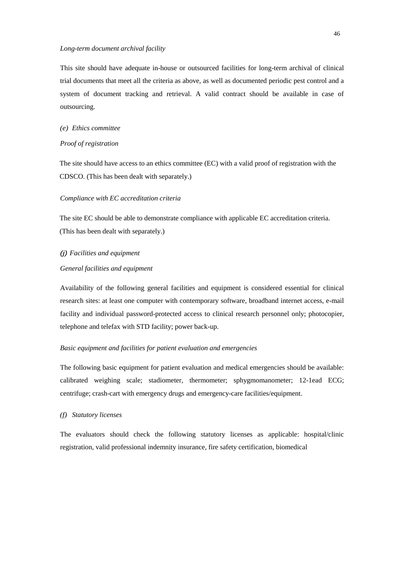## *Long-term document archival facility*

This site should have adequate in-house or outsourced facilities for long-term archival of clinical trial documents that meet all the criteria as above, as well as documented periodic pest control and a system of document tracking and retrieval. A valid contract should be available in case of outsourcing.

## *(e) Ethics committee*

#### *Proof of registration*

The site should have access to an ethics committee (EC) with a valid proof of registration with the CDSCO. (This has been dealt with separately.)

#### *Compliance with EC accreditation criteria*

The site EC should be able to demonstrate compliance with applicable EC accreditation criteria. (This has been dealt with separately.)

# *(j) Facilities and equipment General facilities and equipment*

Availability of the following general facilities and equipment is considered essential for clinical research sites: at least one computer with contemporary software, broadband internet access, e-mail facility and individual password-protected access to clinical research personnel only; photocopier, telephone and telefax with STD facility; power back-up.

## *Basic equipment and facilities for patient evaluation and emergencies*

The following basic equipment for patient evaluation and medical emergencies should be available: calibrated weighing scale; stadiometer, thermometer; sphygmomanometer; 12-1ead ECG; centrifuge; crash-cart with emergency drugs and emergency-care facilities/equipment.

#### *(f) Statutory licenses*

The evaluators should check the following statutory licenses as applicable: hospital/clinic registration, valid professional indemnity insurance, fire safety certification, biomedical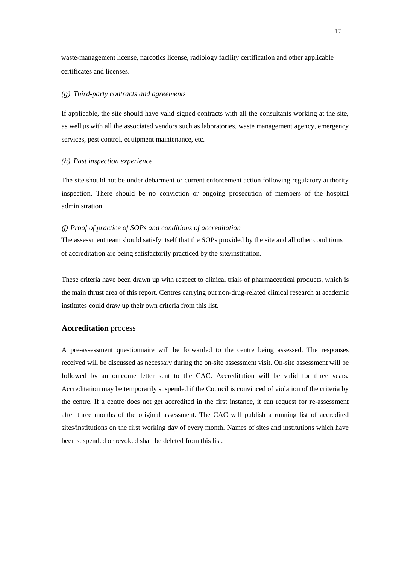waste-management license, narcotics license, radiology facility certification and other applicable certificates and licenses.

#### *(g) Third-party contracts and agreements*

If applicable, the site should have valid signed contracts with all the consultants working at the site, as well us with all the associated vendors such as laboratories, waste management agency, emergency services, pest control, equipment maintenance, etc.

#### *(h) Past inspection experience*

The site should not be under debarment or current enforcement action following regulatory authority inspection. There should be no conviction or ongoing prosecution of members of the hospital administration.

#### *(j) Proof of practice of SOPs and conditions of accreditation*

The assessment team should satisfy itself that the SOPs provided by the site and all other conditions of accreditation are being satisfactorily practiced by the site/institution.

These criteria have been drawn up with respect to clinical trials of pharmaceutical products, which is the main thrust area of this report. Centres carrying out non-drug-related clinical research at academic institutes could draw up their own criteria from this list.

## **Accreditation** process

A pre-assessment questionnaire will be forwarded to the centre being assessed. The responses received will be discussed as necessary during the on-site assessment visit. On-site assessment will be followed by an outcome letter sent to the CAC. Accreditation will be valid for three years. Accreditation may be temporarily suspended if the Council is convinced of violation of the criteria by the centre. If a centre does not get accredited in the first instance, it can request for re-assessment after three months of the original assessment. The CAC will publish a running list of accredited sites/institutions on the first working day of every month. Names of sites and institutions which have been suspended or revoked shall be deleted from this list.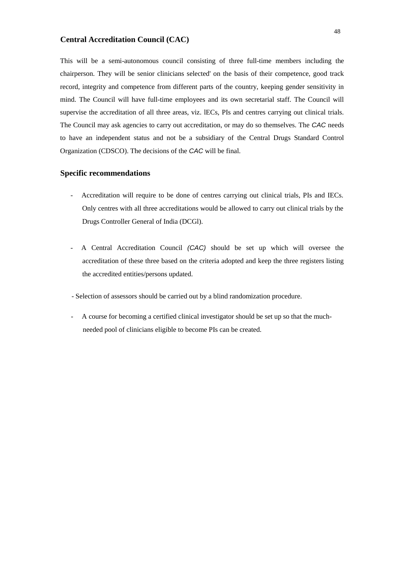# **Central Accreditation Council (CAC)**

This will be a semi-autonomous council consisting of three full-time members including the chairperson. They will be senior clinicians selected' on the basis of their competence, good track record, integrity and competence from different parts of the country, keeping gender sensitivity in mind. The Council will have full-time employees and its own secretarial staff. The Council will supervise the accreditation of all three areas, viz. lECs, PIs and centres carrying out clinical trials. The Council may ask agencies to carry out accreditation, or may do so themselves. The *CAC* needs to have an independent status and not be a subsidiary of the Central Drugs Standard Control Organization (CDSCO). The decisions of the *CAC* will be final.

# **Specific recommendations**

- Accreditation will require to be done of centres carrying out clinical trials, PIs and IECs. Only centres with all three accreditations would be allowed to carry out clinical trials by the Drugs Controller General of India (DCGl).
- A Central Accreditation Council *(CAC)* should be set up which will oversee the accreditation of these three based on the criteria adopted and keep the three registers listing the accredited entities/persons updated.
- Selection of assessors should be carried out by a blind randomization procedure.
- A course for becoming a certified clinical investigator should be set up so that the muchneeded pool of clinicians eligible to become PIs can be created.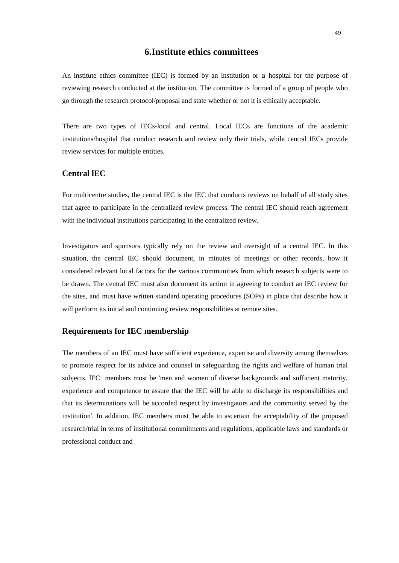# **6.Institute ethics committees**

An institute ethics committee (IEC) is formed by an institution or a hospital for the purpose of reviewing research conducted at the institution. The committee is formed of a group of people who go through the research protocol/proposal and state whether or not it is ethically acceptable.

There are two types of IECs-local and central. Local IECs are functions of the academic institutions/hospital that conduct research and review only their trials, while central IECs provide review services for multiple entities.

# **Central lEC**

For multicentre studies, the central IEC is the IEC that conducts reviews on behalf of all study sites that agree to participate in the centralized review process. The central IEC should reach agreement with the individual institutions participating in the centralized review.

Investigators and sponsors typically rely on the review and oversight of a central lEC. In this situation, the central IEC should document, in minutes of meetings or other records, how it considered relevant local factors for the various communities from which research subjects were to be drawn. The central IEC must also document its action in agreeing to conduct an lEC review for the sites, and must have written standard operating procedures (SOPs) in place that describe how it will perform its initial and continuing review responsibilities at remote sites.

## **Requirements for IEC membership**

The members of an IEC must have sufficient experience, expertise and diversity among themselves to promote respect for its advice and counsel in safeguarding the rights and welfare of human trial subjects. lEC· members must be 'men and women of diverse backgrounds and sufficient maturity, experience and competence to assure that the IEC will be able to discharge its responsibilities and that its determinations will be accorded respect by investigators and the community served by the institution'. In addition, IEC members must 'be able to ascertain the acceptability of the proposed research/trial in terms of institutional commitments and regulations, applicable laws and standards or professional conduct and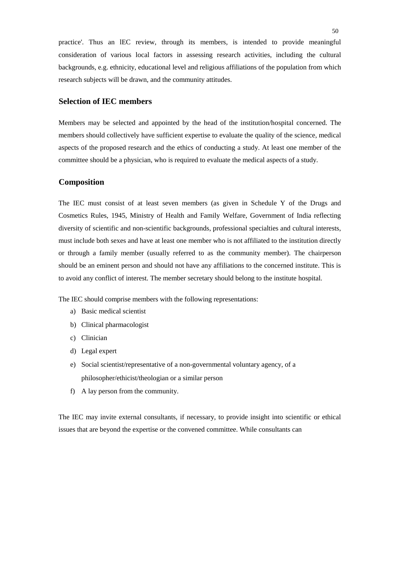practice'. Thus an lEC review, through its members, is intended to provide meaningful consideration of various local factors in assessing research activities, including the cultural backgrounds, e.g. ethnicity, educational level and religious affiliations of the population from which research subjects will be drawn, and the community attitudes.

# **Selection of IEC members**

Members may be selected and appointed by the head of the institution/hospital concerned. The members should collectively have sufficient expertise to evaluate the quality of the science, medical aspects of the proposed research and the ethics of conducting a study. At least one member of the committee should be a physician, who is required to evaluate the medical aspects of a study.

# **Composition**

The IEC must consist of at least seven members (as given in Schedule Y of the Drugs and Cosmetics Rules, 1945, Ministry of Health and Family Welfare, Government of India reflecting diversity of scientific and non-scientific backgrounds, professional specialties and cultural interests, must include both sexes and have at least one member who is not affiliated to the institution directly or through a family member (usually referred to as the community member). The chairperson should be an eminent person and should not have any affiliations to the concerned institute. This is to avoid any conflict of interest. The member secretary should belong to the institute hospital.

The IEC should comprise members with the following representations:

- a) Basic medical scientist
- b) Clinical pharmacologist
- c) Clinician
- d) Legal expert
- e) Social scientist/representative of a non-governmental voluntary agency, of a philosopher/ethicist/theologian or a similar person
- f) A lay person from the community.

The IEC may invite external consultants, if necessary, to provide insight into scientific or ethical issues that are beyond the expertise or the convened committee. While consultants can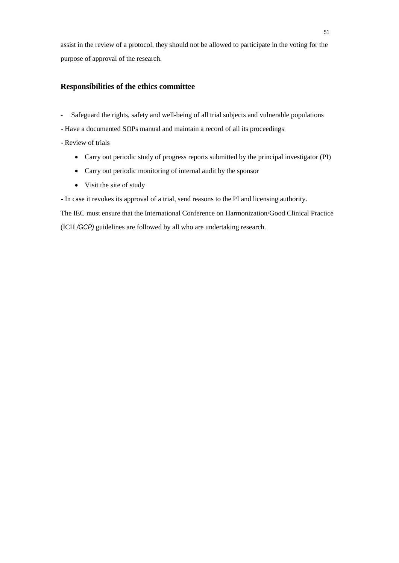assist in the review of a protocol, they should not be allowed to participate in the voting for the purpose of approval of the research.

# **Responsibilities of the ethics committee**

- Safeguard the rights, safety and well-being of all trial subjects and vulnerable populations
- Have a documented SOPs manual and maintain a record of all its proceedings
- Review of trials
	- Carry out periodic study of progress reports submitted by the principal investigator (PI)
	- Carry out periodic monitoring of internal audit by the sponsor
	- Visit the site of study
- In case it revokes its approval of a trial, send reasons to the PI and licensing authority.

The IEC must ensure that the International Conference on Harmonization/Good Clinical Practice (ICH */GCP)* guidelines are followed by all who are undertaking research.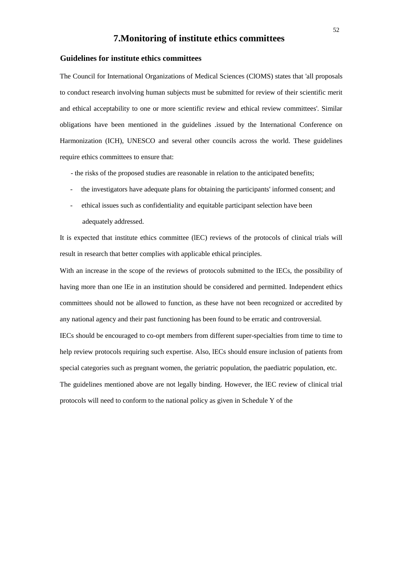# **7.Monitoring of institute ethics committees**

## **Guidelines for institute ethics committees**

The Council for International Organizations of Medical Sciences (ClOMS) states that 'all proposals to conduct research involving human subjects must be submitted for review of their scientific merit and ethical acceptability to one or more scientific review and ethical review committees'. Similar obligations have been mentioned in the guidelines .issued by the International Conference on Harmonization (ICH), UNESCO and several other councils across the world. These guidelines require ethics committees to ensure that:

- the risks of the proposed studies are reasonable in relation to the anticipated benefits;

- the investigators have adequate plans for obtaining the participants' informed consent; and
- ethical issues such as confidentiality and equitable participant selection have been adequately addressed.

It is expected that institute ethics committee (lEC) reviews of the protocols of clinical trials will result in research that better complies with applicable ethical principles.

With an increase in the scope of the reviews of protocols submitted to the IECs, the possibility of having more than one lEe in an institution should be considered and permitted. Independent ethics committees should not be allowed to function, as these have not been recognized or accredited by any national agency and their past functioning has been found to be erratic and controversial.

IECs should be encouraged to co-opt members from different super-specialties from time to time to help review protocols requiring such expertise. Also, lECs should ensure inclusion of patients from special categories such as pregnant women, the geriatric population, the paediatric population, etc. The guidelines mentioned above are not legally binding. However, the lEC review of clinical trial

protocols will need to conform to the national policy as given in Schedule Y of the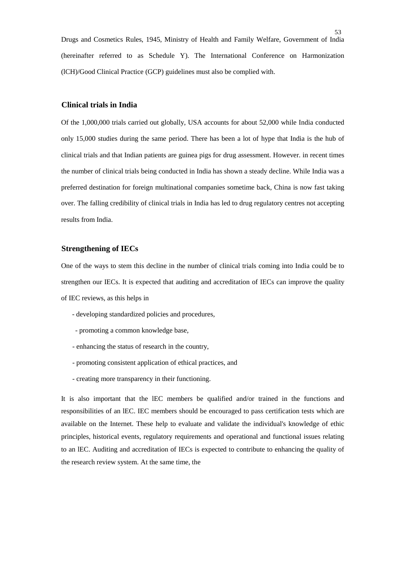Drugs and Cosmetics Rules, 1945, Ministry of Health and Family Welfare, Government of India (hereinafter referred to as Schedule Y). The International Conference on Harmonization (lCH)/Good Clinical Practice (GCP) guidelines must also be complied with.

#### **Clinical trials in India**

Of the 1,000,000 trials carried out globally, USA accounts for about 52,000 while India conducted only 15,000 studies during the same period. There has been a lot of hype that India is the hub of clinical trials and that Indian patients are guinea pigs for drug assessment. However. in recent times the number of clinical trials being conducted in India has shown a steady decline. While India was a preferred destination for foreign multinational companies sometime back, China is now fast taking over. The falling credibility of clinical trials in India has led to drug regulatory centres not accepting results from India.

# **Strengthening of IECs**

One of the ways to stem this decline in the number of clinical trials coming into India could be to strengthen our IECs. It is expected that auditing and accreditation of IECs can improve the quality of IEC reviews, as this helps in

- developing standardized policies and procedures,
- promoting a common knowledge base,
- enhancing the status of research in the country,
- promoting consistent application of ethical practices, and
- creating more transparency in their functioning.

It is also important that the lEC members be qualified and/or trained in the functions and responsibilities of an lEC. IEC members should be encouraged to pass certification tests which are available on the Internet. These help to evaluate and validate the individual's knowledge of ethic principles, historical events, regulatory requirements and operational and functional issues relating to an lEC. Auditing and accreditation of IECs is expected to contribute to enhancing the quality of the research review system. At the same time, the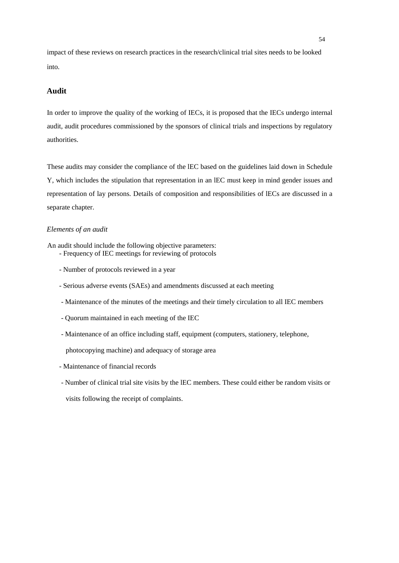impact of these reviews on research practices in the research/clinical trial sites needs to be looked into.

# **Audit**

In order to improve the quality of the working of IECs, it is proposed that the IECs undergo internal audit, audit procedures commissioned by the sponsors of clinical trials and inspections by regulatory authorities.

These audits may consider the compliance of the lEC based on the guidelines laid down in Schedule Y, which includes the stipulation that representation in an lEC must keep in mind gender issues and representation of lay persons. Details of composition and responsibilities of lECs are discussed in a separate chapter.

## *Elements of an audit*

An audit should include the following objective parameters:

- Frequency of IEC meetings for reviewing of protocols
	- Number of protocols reviewed in a year
	- Serious adverse events (SAEs) and amendments discussed at each meeting
	- Maintenance of the minutes of the meetings and their timely circulation to all IEC members
	- Quorum maintained in each meeting of the IEC
	- Maintenance of an office including staff, equipment (computers, stationery, telephone,

photocopying machine) and adequacy of storage area

- Maintenance of financial records
- Number of clinical trial site visits by the lEC members. These could either be random visits or

visits following the receipt of complaints.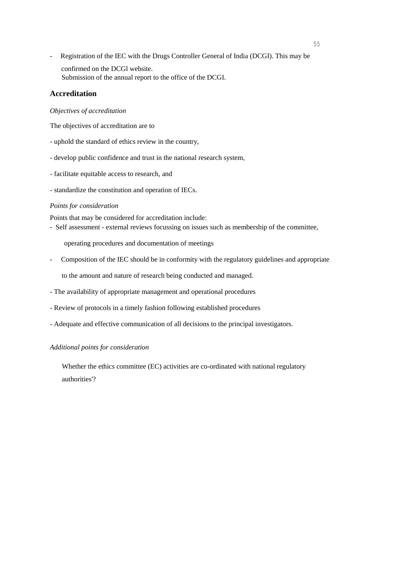- Registration of the IEC with the Drugs Controller General of India (DCGI). This may be confirmed on the DCGl website. Submission of the annual report to the office of the DCGI.

# **Accreditation**

#### *Objectives of accreditation*

The objectives of accreditation are to

- uphold the standard of ethics review in the country,
- develop public confidence and trust in the national research system,
- facilitate equitable access to research, and
- standardize the constitution and operation of IECs.

#### *Points for consideration*

Points that may be considered for accreditation include:

- Self assessment - external reviews focussing on issues such as membership of the committee,

operating procedures and documentation of meetings

- Composition of the IEC should be in conformity with the regulatory guidelines and appropriate to the amount and nature of research being conducted and managed.
- The availability of appropriate management and operational procedures
- Review of protocols in a timely fashion following established procedures
- Adequate and effective communication of all decisions to the principal investigators.

#### *Additional points for consideration*

Whether the ethics committee (EC) activities are co-ordinated with national regulatory authorities'?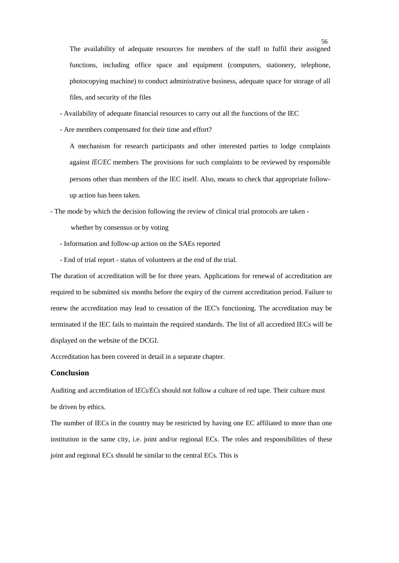The availability of adequate resources for members of the staff to fulfil their assigned functions, including office space and equipment (computers, stationery, telephone, photocopying machine) to conduct administrative business, adequate space for storage of all files, and security of the files

- Availability of adequate financial resources to carry out all the functions of the IEC
- Are members compensated for their time and effort?

A mechanism for research participants and other interested parties to lodge complaints against *IEC/EC* members The provisions for such complaints to be reviewed by responsible persons other than members of the lEC itself. Also, means to check that appropriate followup action has been taken.

- The mode by which the decision following the review of clinical trial protocols are taken -

whether by consensus or by voting

- Information and follow-up action on the SAEs reported
- End of trial report status of volunteers at the end of the trial.

The duration of accreditation will be for three years. Applications for renewal of accreditation are required to be submitted six months before the expiry of the current accreditation period. Failure to renew the accreditation may lead to cessation of the IEC's functioning. The accreditation may be terminated if the IEC fails to maintain the required standards. The list of all accredited IECs will be displayed on the website of the DCGI.

Accreditation has been covered in detail in a separate chapter.

#### **Conclusion**

Auditing and accreditation of I*ECs/ECs* should not follow a culture of red tape. Their culture must be driven by ethics.

The number of IECs in the country may be restricted by having one EC affiliated to more than one institution in the same city, i.e. joint and/or regional ECs. The roles and responsibilities of these joint and regional ECs should be similar to the central ECs. This is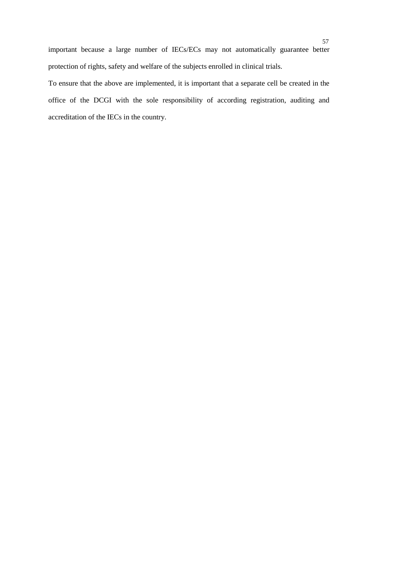important because a large number of IECs/ECs may not automatically guarantee better protection of rights, safety and welfare of the subjects enrolled in clinical trials.

To ensure that the above are implemented, it is important that a separate cell be created in the office of the DCGI with the sole responsibility of according registration, auditing and accreditation of the IECs in the country.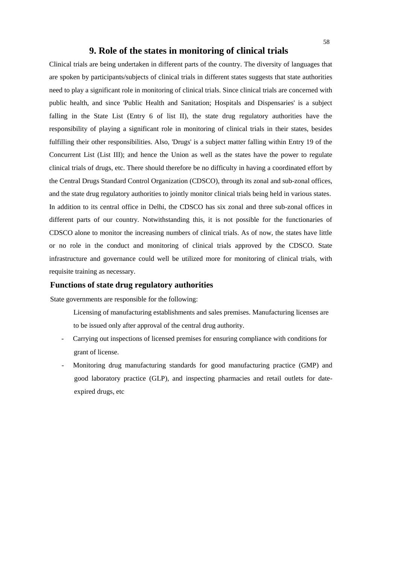# **9. Role of the states in monitoring of clinical trials**

Clinical trials are being undertaken in different parts of the country. The diversity of languages that are spoken by participants/subjects of clinical trials in different states suggests that state authorities need to play a significant role in monitoring of clinical trials. Since clinical trials are concerned with public health, and since 'Public Health and Sanitation; Hospitals and Dispensaries' is a subject falling in the State List (Entry 6 of list II), the state drug regulatory authorities have the responsibility of playing a significant role in monitoring of clinical trials in their states, besides fulfilling their other responsibilities. Also, 'Drugs' is a subject matter falling within Entry 19 of the Concurrent List (List III); and hence the Union as well as the states have the power to regulate clinical trials of drugs, etc. There should therefore be no difficulty in having a coordinated effort by the Central Drugs Standard Control Organization (CDSCO), through its zonal and sub-zonal offices, and the state drug regulatory authorities to jointly monitor clinical trials being held in various states. In addition to its central office in Delhi, the CDSCO has six zonal and three sub-zonal offices in different parts of our country. Notwithstanding this, it is not possible for the functionaries of CDSCO alone to monitor the increasing numbers of clinical trials. As of now, the states have little or no role in the conduct and monitoring of clinical trials approved by the CDSCO. State infrastructure and governance could well be utilized more for monitoring of clinical trials, with requisite training as necessary.

# **Functions of state drug regulatory authorities**

State governments are responsible for the following:

- Licensing of manufacturing establishments and sales premises. Manufacturing licenses are to be issued only after approval of the central drug authority.
- Carrying out inspections of licensed premises for ensuring compliance with conditions for grant of license.
- Monitoring drug manufacturing standards for good manufacturing practice (GMP) and good laboratory practice (GLP), and inspecting pharmacies and retail outlets for dateexpired drugs, etc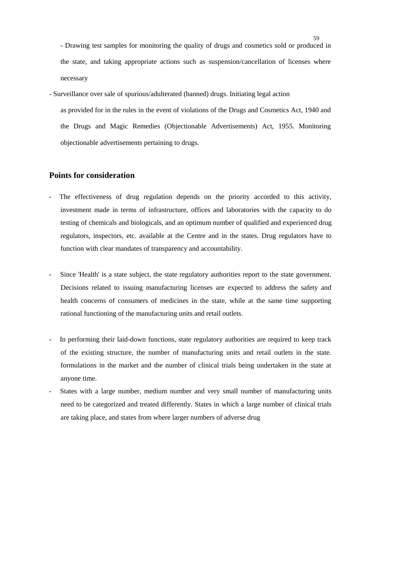- Drawing test samples for monitoring the quality of drugs and cosmetics sold or produced in the state, and taking appropriate actions such as suspension/cancellation of licenses where necessary

- Surveillance over sale of spurious/adulterated (banned) drugs. Initiating legal action as provided for in the rules in the event of violations of the Drugs and Cosmetics Act, 1940 and the Drugs and Magic Remedies (Objectionable Advertisements) Act, 1955. Monitoring objectionable advertisements pertaining to drugs.

# **Points for consideration**

- The effectiveness of drug regulation depends on the priority accorded to this activity, investment made in terms of infrastructure, offices and laboratories with the capacity to do testing of chemicals and biologicals, and an optimum number of qualified and experienced drug regulators, inspectors, etc. available at the Centre and in the states. Drug regulators have to function with clear mandates of transparency and accountability.
- Since 'Health' is a state subject, the state regulatory authorities report to the state government. Decisions related to issuing manufacturing licenses are expected to address the safety and health concerns of consumers of medicines in the state, while at the same time supporting rational functioning of the manufacturing units and retail outlets.
- In performing their laid-down functions, state regulatory authorities are required to keep track of the existing structure, the number of manufacturing units and retail outlets in the state. formulations in the market and the number of clinical trials being undertaken in the state at anyone time.
- States with a large number, medium number and very small number of manufacturing units need to be categorized and treated differently. States in which a large number of clinical trials are taking place, and states from where larger numbers of adverse drug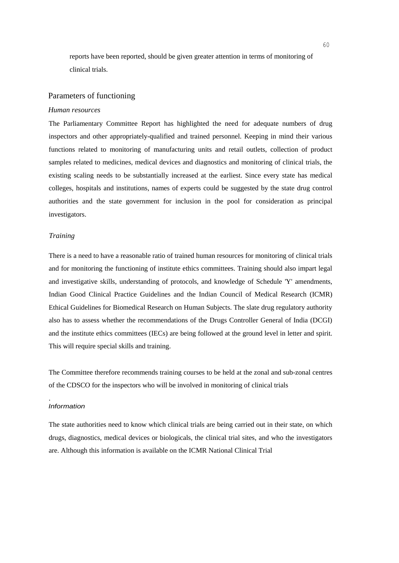reports have been reported, should be given greater attention in terms of monitoring of clinical trials.

# Parameters of functioning

#### *Human resources*

The Parliamentary Committee Report has highlighted the need for adequate numbers of drug inspectors and other appropriately-qualified and trained personnel. Keeping in mind their various functions related to monitoring of manufacturing units and retail outlets, collection of product samples related to medicines, medical devices and diagnostics and monitoring of clinical trials, the existing scaling needs to be substantially increased at the earliest. Since every state has medical colleges, hospitals and institutions, names of experts could be suggested by the state drug control authorities and the state government for inclusion in the pool for consideration as principal investigators.

#### *Training*

There is a need to have a reasonable ratio of trained human resources for monitoring of clinical trials and for monitoring the functioning of institute ethics committees. Training should also impart legal and investigative skills, understanding of protocols, and knowledge of Schedule 'Y' amendments, Indian Good Clinical Practice Guidelines and the Indian Council of Medical Research (ICMR) Ethical Guidelines for Biomedical Research on Human Subjects. The slate drug regulatory authority also has to assess whether the recommendations of the Drugs Controller General of India (DCGI) and the institute ethics committees (IECs) are being followed at the ground level in letter and spirit. This will require special skills and training.

The Committee therefore recommends training courses to be held at the zonal and sub-zonal centres of the CDSCO for the inspectors who will be involved in monitoring of clinical trials

## *Information*

.

The state authorities need to know which clinical trials are being carried out in their state, on which drugs, diagnostics, medical devices or biologicals, the clinical trial sites, and who the investigators are. Although this information is available on the ICMR National Clinical Trial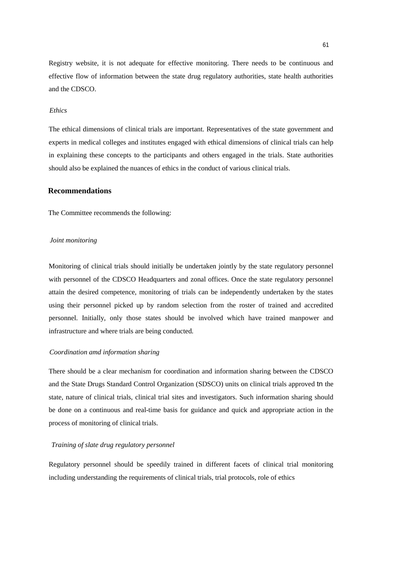Registry website, it is not adequate for effective monitoring. There needs to be continuous and effective flow of information between the state drug regulatory authorities, state health authorities and the CDSCO.

#### *Ethics*

The ethical dimensions of clinical trials are important. Representatives of the state government and experts in medical colleges and institutes engaged with ethical dimensions of clinical trials can help in explaining these concepts to the participants and others engaged in the trials. State authorities should also be explained the nuances of ethics in the conduct of various clinical trials.

# **Recommendations**

The Committee recommends the following:

#### *Joint monitoring*

Monitoring of clinical trials should initially be undertaken jointly by the state regulatory personnel with personnel of the CDSCO Headquarters and zonal offices. Once the state regulatory personnel attain the desired competence, monitoring of trials can be independently undertaken by the states using their personnel picked up by random selection from the roster of trained and accredited personnel. Initially, only those states should be involved which have trained manpower and infrastructure and where trials are being conducted.

#### *Coordination amd information sharing*

There should be a clear mechanism for coordination and information sharing between the CDSCO and the State Drugs Standard Control Organization (SDSCO) units on clinical trials approved tn the state, nature of clinical trials, clinical trial sites and investigators. Such information sharing should be done on a continuous and real-time basis for guidance and quick and appropriate action in the process of monitoring of clinical trials.

#### *Training of slate drug regulatory personnel*

Regulatory personnel should be speedily trained in different facets of clinical trial monitoring including understanding the requirements of clinical trials, trial protocols, role of ethics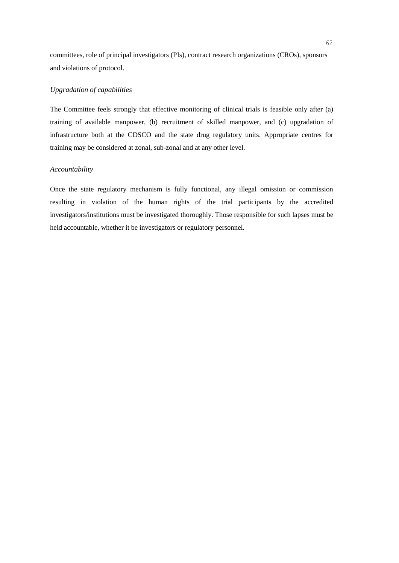committees, role of principal investigators (PIs), contract research organizations (CROs), sponsors and violations of protocol.

#### *Upgradation of capabilities*

The Committee feels strongly that effective monitoring of clinical trials is feasible only after (a) training of available manpower, (b) recruitment of skilled manpower, and (c) upgradation of infrastructure both at the CDSCO and the state drug regulatory units. Appropriate centres for training may be considered at zonal, sub-zonal and at any other level.

#### *Accountability*

Once the state regulatory mechanism is fully functional, any illegal omission or commission resulting in violation of the human rights of the trial participants by the accredited investigators/institutions must be investigated thoroughly. Those responsible for such lapses must be held accountable, whether it be investigators or regulatory personnel.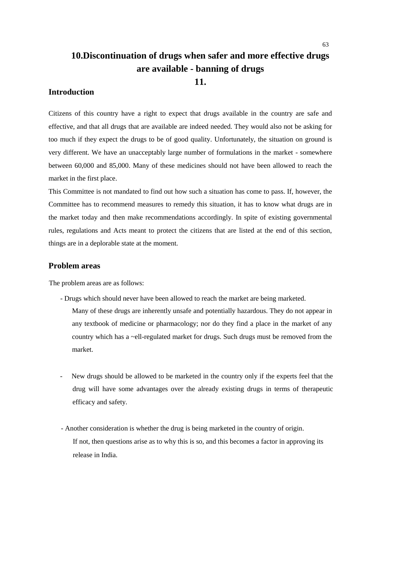# **10.Discontinuation of drugs when safer and more effective drugs are available - banning of drugs 11.**

# **Introduction**

Citizens of this country have a right to expect that drugs available in the country are safe and effective, and that all drugs that are available are indeed needed. They would also not be asking for too much if they expect the drugs to be of good quality. Unfortunately, the situation on ground is very different. We have an unacceptably large number of formulations in the market - somewhere between 60,000 and 85,000. Many of these medicines should not have been allowed to reach the market in the first place.

This Committee is not mandated to find out how such a situation has come to pass. If, however, the Committee has to recommend measures to remedy this situation, it has to know what drugs are in the market today and then make recommendations accordingly. In spite of existing governmental rules, regulations and Acts meant to protect the citizens that are listed at the end of this section, things are in a deplorable state at the moment.

# **Problem areas**

The problem areas are as follows:

- Drugs which should never have been allowed to reach the market are being marketed.
	- Many of these drugs are inherently unsafe and potentially hazardous. They do not appear in any textbook of medicine or pharmacology; nor do they find a place in the market of any country which has a ~ell-regulated market for drugs. Such drugs must be removed from the market.
- *-* New drugs should be allowed to be marketed in the country only if the experts feel that the drug will have some advantages over the already existing drugs in terms of therapeutic efficacy and safety.
- Another consideration is whether the drug is being marketed in the country of origin. If not, then questions arise as to why this is so, and this becomes a factor in approving its release in India.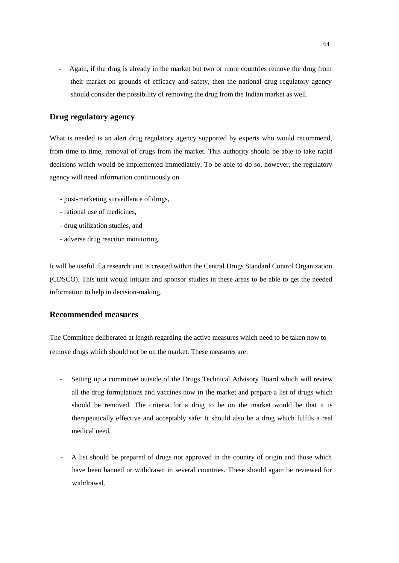- Again, if the drug is already in the market but two or more countries remove the drug from their market on grounds of efficacy and safety, then the national drug regulatory agency should consider the possibility of removing the drug from the Indian market as well.

# **Drug regulatory agency**

What is needed is an alert drug regulatory agency supported by experts who would recommend, from time to time, removal of drugs from the market. This authority should be able to take rapid decisions which would be implemented immediately. To be able to do so, however, the regulatory agency will need information continuously on

- post-marketing surveillance of drugs,
- rational use of medicines,
- drug utilization studies, and
- adverse drug reaction monitoring.

It will be useful if a research unit is created within the Central Drugs Standard Control Organization (CDSCO). This unit would initiate and sponsor studies in these areas to be able to get the needed information to help in decision-making.

# **Recommended measures**

The Committee deliberated at length regarding the active measures which need to be taken now to remove drugs which should not be on the market. These measures are:

- Setting up a committee outside of the Drugs Technical Advisory Board which will review all the drug formulations and vaccines now in the market and prepare a list of drugs which should be removed. The criteria for a drug to be on the market would be that it is therapeutically effective and acceptably safe: It should also be a drug which fulfils a real medical need.
- A list should be prepared of drugs not approved in the country of origin and those which have been banned or withdrawn in several countries. These should again be reviewed for withdrawal.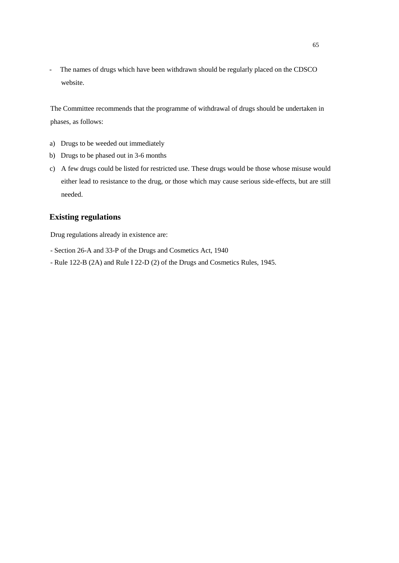- The names of drugs which have been withdrawn should be regularly placed on the CDSCO website.

The Committee recommends that the programme of withdrawal of drugs should be undertaken in phases, as follows:

- a) Drugs to be weeded out immediately
- b) Drugs to be phased out in 3-6 months
- c) A few drugs could be listed for restricted use. These drugs would be those whose misuse would either lead to resistance to the drug, or those which may cause serious side-effects, but are still needed.

# **Existing regulations**

Drug regulations already in existence are:

- Section 26-A and 33-P of the Drugs and Cosmetics Act, 1940
- Rule 122-B (2A) and Rule I 22-D (2) of the Drugs and Cosmetics Rules, 1945.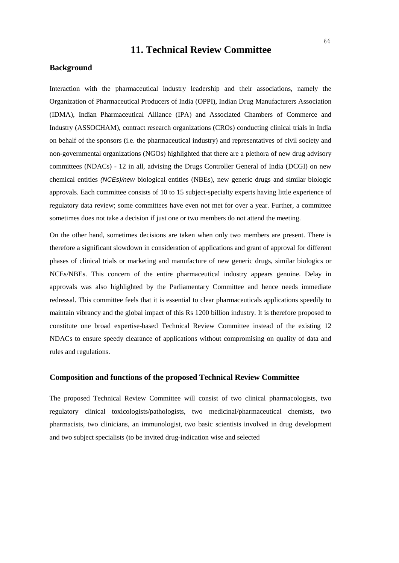# **11. Technical Review Committee**

#### **Background**

Interaction with the pharmaceutical industry leadership and their associations, namely the Organization of Pharmaceutical Producers of India (OPPI), Indian Drug Manufacturers Association (IDMA), Indian Pharmaceutical Alliance (IPA) and Associated Chambers of Commerce and Industry (ASSOCHAM), contract research organizations (CROs) conducting clinical trials in India on behalf of the sponsors (i.e. the pharmaceutical industry) and representatives of civil society and non-governmental organizations (NGOs) highlighted that there are a plethora of new drug advisory committees (NDACs) - 12 in all, advising the Drugs Controller General of India (DCGI) on new chemical entities *(NCEs)/new* biological entities (NBEs), new generic drugs and similar biologic approvals. Each committee consists of 10 to 15 subject-specialty experts having little experience of regulatory data review; some committees have even not met for over a year. Further, a committee sometimes does not take a decision if just one or two members do not attend the meeting.

On the other hand, sometimes decisions are taken when only two members are present. There is therefore a significant slowdown in consideration of applications and grant of approval for different phases of clinical trials or marketing and manufacture of new generic drugs, similar biologics or NCEs/NBEs. This concern of the entire pharmaceutical industry appears genuine. Delay in approvals was also highlighted by the Parliamentary Committee and hence needs immediate redressal. This committee feels that it is essential to clear pharmaceuticals applications speedily to maintain vibrancy and the global impact of this Rs 1200 billion industry. It is therefore proposed to constitute one broad expertise-based Technical Review Committee instead of the existing 12 NDACs to ensure speedy clearance of applications without compromising on quality of data and rules and regulations.

# **Composition and functions of the proposed Technical Review Committee**

The proposed Technical Review Committee will consist of two clinical pharmacologists, two regulatory clinical toxicologists/pathologists, two medicinal/pharmaceutical chemists, two pharmacists, two clinicians, an immunologist, two basic scientists involved in drug development and two subject specialists (to be invited drug-indication wise and selected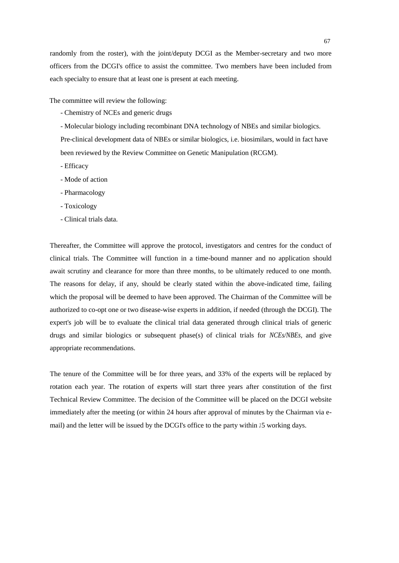randomly from the roster), with the joint/deputy DCGI as the Member-secretary and two more officers from the DCGI's office to assist the committee. Two members have been included from each specialty to ensure that at least one is present at each meeting.

The committee will review the following:

- Chemistry of NCEs and generic drugs
- Molecular biology including recombinant DNA technology of NBEs and similar biologics.

Pre-clinical development data of NBEs or similar biologics, i.e. biosimilars, would in fact have been reviewed by the Review Committee on Genetic Manipulation (RCGM).

- Efficacy
- Mode of action
- Pharmacology
- Toxicology
- Clinical trials data.

Thereafter, the Committee will approve the protocol, investigators and centres for the conduct of clinical trials. The Committee will function in a time-bound manner and no application should await scrutiny and clearance for more than three months, to be ultimately reduced to one month. The reasons for delay, if any, should be clearly stated within the above-indicated time, failing which the proposal will be deemed to have been approved. The Chairman of the Committee will be authorized to co-opt one or two disease-wise experts in addition, if needed (through the DCGI). The expert's job will be to evaluate the clinical trial data generated through clinical trials of generic drugs and similar biologics or subsequent phase(s) of clinical trials for *NCEs/NBEs,* and give appropriate recommendations.

The tenure of the Committee will be for three years, and 33% of the experts will be replaced by rotation each year. The rotation of experts will start three years after constitution of the first Technical Review Committee. The decision of the Committee will be placed on the DCGI website immediately after the meeting (or within 24 hours after approval of minutes by the Chairman via email) and the letter will be issued by the DCGI's office to the party within  $15$  working days.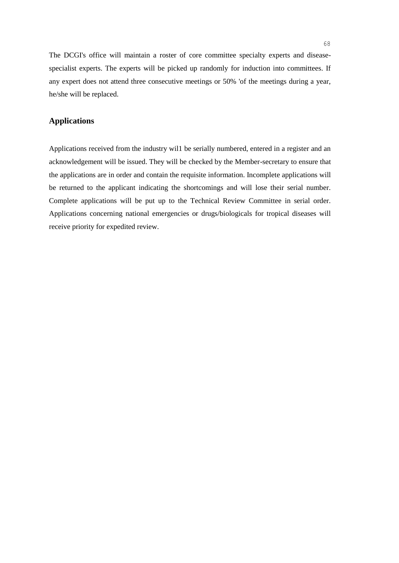The DCGI's office will maintain a roster of core committee specialty experts and diseasespecialist experts. The experts will be picked up randomly for induction into committees. If any expert does not attend three consecutive meetings or 50% 'of the meetings during a year, he/she will be replaced.

# **Applications**

Applications received from the industry wil1 be serially numbered, entered in a register and an acknowledgement will be issued. They will be checked by the Member-secretary to ensure that the applications are in order and contain the requisite information. Incomplete applications will be returned to the applicant indicating the shortcomings and will lose their serial number. Complete applications will be put up to the Technical Review Committee in serial order. Applications concerning national emergencies or drugs/biologicals for tropical diseases will receive priority for expedited review.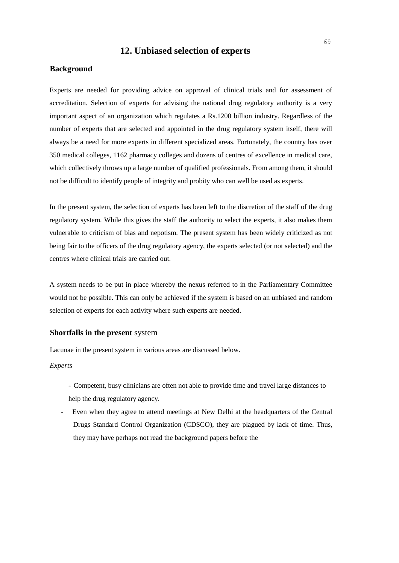# **12. Unbiased selection of experts**

## **Background**

Experts are needed for providing advice on approval of clinical trials and for assessment of accreditation. Selection of experts for advising the national drug regulatory authority is a very important aspect of an organization which regulates a Rs.1200 billion industry. Regardless of the number of experts that are selected and appointed in the drug regulatory system itself, there will always be a need for more experts in different specialized areas. Fortunately, the country has over 350 medical colleges, 1162 pharmacy colleges and dozens of centres of excellence in medical care, which collectively throws up a large number of qualified professionals. From among them, it should not be difficult to identify people of integrity and probity who can well be used as experts.

In the present system, the selection of experts has been left to the discretion of the staff of the drug regulatory system. While this gives the staff the authority to select the experts, it also makes them vulnerable to criticism of bias and nepotism. The present system has been widely criticized as not being fair to the officers of the drug regulatory agency, the experts selected (or not selected) and the centres where clinical trials are carried out.

A system needs to be put in place whereby the nexus referred to in the Parliamentary Committee would not be possible. This can only be achieved if the system is based on an unbiased and random selection of experts for each activity where such experts are needed.

# **Shortfalls in the present** system

Lacunae in the present system in various areas are discussed below.

## *Experts*

- Competent, busy clinicians are often not able to provide time and travel large distances to help the drug regulatory agency.
- Even when they agree to attend meetings at New Delhi at the headquarters of the Central Drugs Standard Control Organization (CDSCO), they are plagued by lack of time. Thus, they may have perhaps not read the background papers before the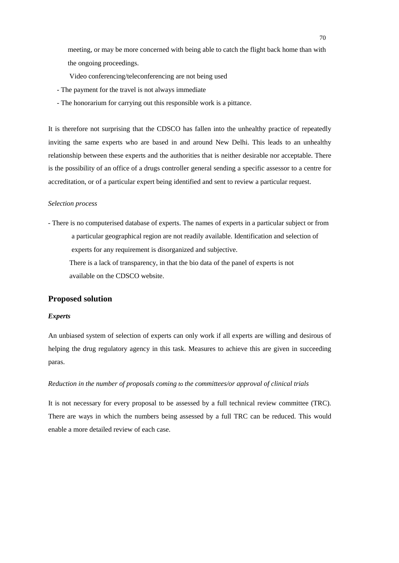meeting, or may be more concerned with being able to catch the flight back home than with the ongoing proceedings.

- Video conferencing/teleconferencing are not being used
- The payment for the travel is not always immediate
- The honorarium for carrying out this responsible work is a pittance.

It is therefore not surprising that the CDSCO has fallen into the unhealthy practice of repeatedly inviting the same experts who are based in and around New Delhi. This leads to an unhealthy relationship between these experts and the authorities that is neither desirable nor acceptable. There is the possibility of an office of a drugs controller general sending a specific assessor to a centre for accreditation, or of a particular expert being identified and sent to review a particular request.

#### *Selection process*

- There is no computerised database of experts. The names of experts in a particular subject or from a particular geographical region are not readily available. Identification and selection of experts for any requirement is disorganized and subjective.

There is a lack of transparency, in that the bio data of the panel of experts is not available on the CDSCO website.

## **Proposed solution**

#### *Experts*

An unbiased system of selection of experts can only work if all experts are willing and desirous of helping the drug regulatory agency in this task. Measures to achieve this are given in succeeding paras.

# *Reduction in the number of proposals coming to the committees/or approval of clinical trials*

It is not necessary for every proposal to be assessed by a full technical review committee (TRC). There are ways in which the numbers being assessed by a full TRC can be reduced. This would enable a more detailed review of each case.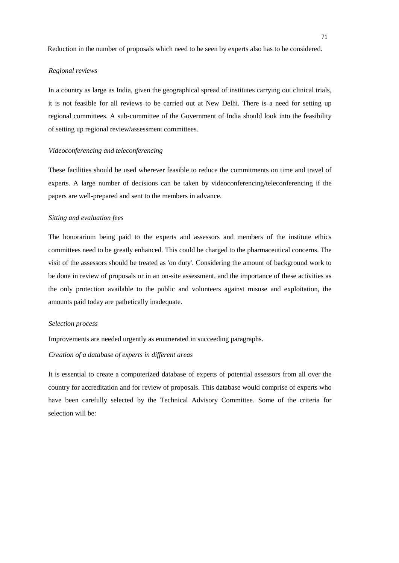Reduction in the number of proposals which need to be seen by experts also has to be considered.

#### *Regional reviews*

In a country as large as India, given the geographical spread of institutes carrying out clinical trials, it is not feasible for all reviews to be carried out at New Delhi. There is a need for setting up regional committees. A sub-committee of the Government of India should look into the feasibility of setting up regional review/assessment committees.

#### *Videoconferencing and teleconferencing*

These facilities should be used wherever feasible to reduce the commitments on time and travel of experts. A large number of decisions can be taken by videoconferencing/teleconferencing if the papers are well-prepared and sent to the members in advance.

#### *Sitting and evaluation fees*

The honorarium being paid to the experts and assessors and members of the institute ethics committees need to be greatly enhanced. This could be charged to the pharmaceutical concerns. The visit of the assessors should be treated as 'on duty'. Considering the amount of background work to be done in review of proposals or in an on-site assessment, and the importance of these activities as the only protection available to the public and volunteers against misuse and exploitation, the amounts paid today are pathetically inadequate.

#### *Selection process*

Improvements are needed urgently as enumerated in succeeding paragraphs.

### *Creation of a database of experts in different areas*

It is essential to create a computerized database of experts of potential assessors from all over the country for accreditation and for review of proposals. This database would comprise of experts who have been carefully selected by the Technical Advisory Committee. Some of the criteria for selection will be: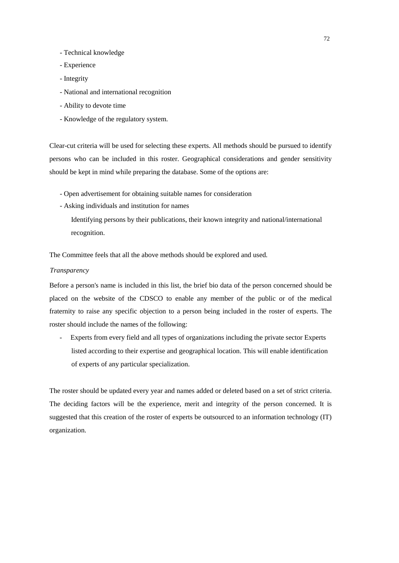- Technical knowledge
- Experience
- Integrity
- National and international recognition
- Ability to devote time
- Knowledge of the regulatory system.

Clear-cut criteria will be used for selecting these experts. All methods should be pursued to identify persons who can be included in this roster. Geographical considerations and gender sensitivity should be kept in mind while preparing the database. Some of the options are:

- Open advertisement for obtaining suitable names for consideration
- Asking individuals and institution for names

Identifying persons by their publications, their known integrity and national/international recognition.

The Committee feels that all the above methods should be explored and used.

#### *Transparency*

Before a person's name is included in this list, the brief bio data of the person concerned should be placed on the website of the CDSCO to enable any member of the public or of the medical fraternity to raise any specific objection to a person being included in the roster of experts. The roster should include the names of the following:

- Experts from every field and all types of organizations including the private sector Experts listed according to their expertise and geographical location. This will enable identification of experts of any particular specialization.

The roster should be updated every year and names added or deleted based on a set of strict criteria. The deciding factors will be the experience, merit and integrity of the person concerned. It is suggested that this creation of the roster of experts be outsourced to an information technology (IT) organization.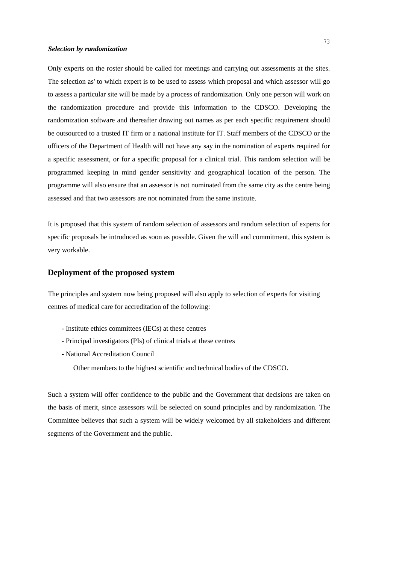#### *Selection by randomization*

Only experts on the roster should be called for meetings and carrying out assessments at the sites. The selection as' to which expert is to be used to assess which proposal and which assessor will go to assess a particular site will be made by a process of randomization. Only one person will work on the randomization procedure and provide this information to the CDSCO. Developing the randomization software and thereafter drawing out names as per each specific requirement should be outsourced to a trusted IT firm or a national institute for IT. Staff members of the CDSCO or the officers of the Department of Health will not have any say in the nomination of experts required for a specific assessment, or for a specific proposal for a clinical trial. This random selection will be programmed keeping in mind gender sensitivity and geographical location of the person. The programme will also ensure that an assessor is not nominated from the same city as the centre being assessed and that two assessors are not nominated from the same institute.

It is proposed that this system of random selection of assessors and random selection of experts for specific proposals be introduced as soon as possible. Given the will and commitment, this system is very workable.

## **Deployment of the proposed system**

The principles and system now being proposed will also apply to selection of experts for visiting centres of medical care for accreditation of the following:

- Institute ethics committees (lECs) at these centres
- Principal investigators (PIs) of clinical trials at these centres
- National Accreditation Council

Other members to the highest scientific and technical bodies of the CDSCO.

Such a system will offer confidence to the public and the Government that decisions are taken on the basis of merit, since assessors will be selected on sound principles and by randomization. The Committee believes that such a system will be widely welcomed by all stakeholders and different segments of the Government and the public.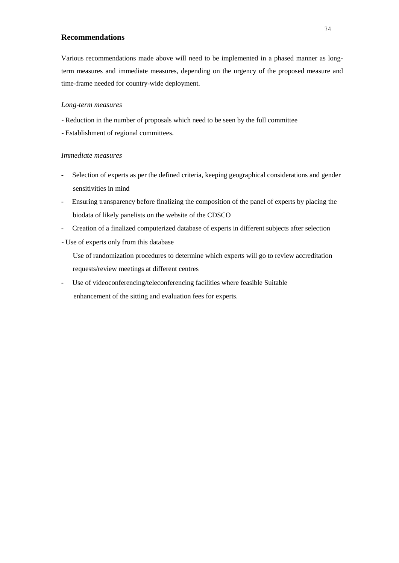# **Recommendations**

Various recommendations made above will need to be implemented in a phased manner as longterm measures and immediate measures, depending on the urgency of the proposed measure and time-frame needed for country-wide deployment.

#### *Long-term measures*

- Reduction in the number of proposals which need to be seen by the full committee
- Establishment of regional committees.

#### *Immediate measures*

- Selection of experts as per the defined criteria, keeping geographical considerations and gender sensitivities in mind
- Ensuring transparency before finalizing the composition of the panel of experts by placing the biodata of likely panelists on the website of the CDSCO
- Creation of a finalized computerized database of experts in different subjects after selection
- Use of experts only from this database

Use of randomization procedures to determine which experts will go to review accreditation requests/review meetings at different centres

- Use of videoconferencing/teleconferencing facilities where feasible Suitable enhancement of the sitting and evaluation fees for experts.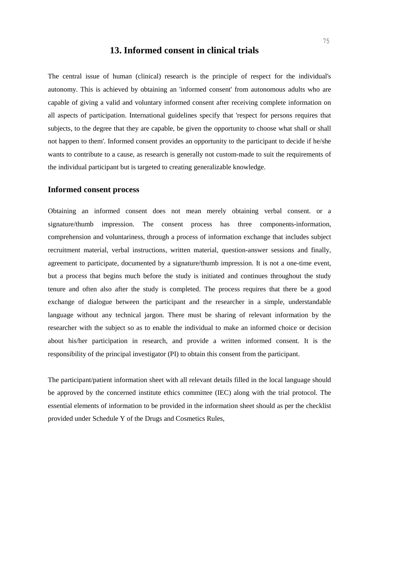# **13. Informed consent in clinical trials**

The central issue of human (clinical) research is the principle of respect for the individual's autonomy. This is achieved by obtaining an 'informed consent' from autonomous adults who are capable of giving a valid and voluntary informed consent after receiving complete information on all aspects of participation. International guidelines specify that 'respect for persons requires that subjects, to the degree that they are capable, be given the opportunity to choose what shall or shall not happen to them'. Informed consent provides an opportunity to the participant to decide if he/she wants to contribute to a cause, as research is generally not custom-made to suit the requirements of the individual participant but is targeted to creating generalizable knowledge.

## **Informed consent process**

Obtaining an informed consent does not mean merely obtaining verbal consent. or a signature/thumb impression. The consent process has three components-information, comprehension and voluntariness, through a process of information exchange that includes subject recruitment material, verbal instructions, written material, question-answer sessions and finally, agreement to participate, documented by a signature/thumb impression. It is not a one-time event, but a process that begins much before the study is initiated and continues throughout the study tenure and often also after the study is completed. The process requires that there be a good exchange of dialogue between the participant and the researcher in a simple, understandable language without any technical jargon. There must be sharing of relevant information by the researcher with the subject so as to enable the individual to make an informed choice or decision about his/her participation in research, and provide a written informed consent. It is the responsibility of the principal investigator (PI) to obtain this consent from the participant.

The participant/patient information sheet with all relevant details filled in the local language should be approved by the concerned institute ethics committee (IEC) along with the trial protocol. The essential elements of information to be provided in the information sheet should as per the checklist provided under Schedule Y of the Drugs and Cosmetics Rules,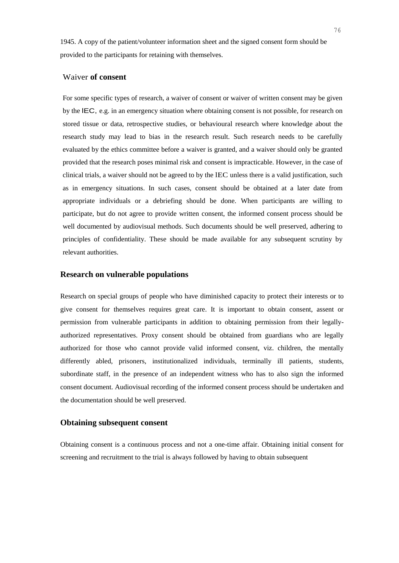1945. A copy of the patient/volunteer information sheet and the signed consent form should be provided to the participants for retaining with themselves.

# Waiver **of consent**

For some specific types of research, a waiver of consent or waiver of written consent may be given by the lEC, e.g. in an emergency situation where obtaining consent is not possible, for research on stored tissue or data, retrospective studies, or behavioural research where knowledge about the research study may lead to bias in the research result. Such research needs to be carefully evaluated by the ethics committee before a waiver is granted, and a waiver should only be granted provided that the research poses minimal risk and consent is impracticable. However, in the case of clinical trials, a waiver should not be agreed to by the lEC unless there is a valid justification, such as in emergency situations. In such cases, consent should be obtained at a later date from appropriate individuals or a debriefing should be done. When participants are willing to participate, but do not agree to provide written consent, the informed consent process should be well documented by audiovisual methods. Such documents should be well preserved, adhering to principles of confidentiality. These should be made available for any subsequent scrutiny by relevant authorities.

# **Research on vulnerable populations**

Research on special groups of people who have diminished capacity to protect their interests or to give consent for themselves requires great care. It is important to obtain consent, assent or permission from vulnerable participants in addition to obtaining permission from their legallyauthorized representatives. Proxy consent should be obtained from guardians who are legally authorized for those who cannot provide valid informed consent, viz. children, the mentally differently abled, prisoners, institutionalized individuals, terminally ill patients, students, subordinate staff, in the presence of an independent witness who has to also sign the informed consent document. Audiovisual recording of the informed consent process should be undertaken and the documentation should be well preserved.

# **Obtaining subsequent consent**

Obtaining consent is a continuous process and not a one-time affair. Obtaining initial consent for screening and recruitment to the trial is always followed by having to obtain subsequent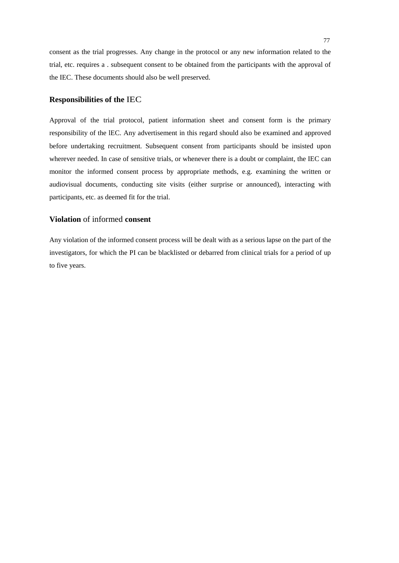consent as the trial progresses. Any change in the protocol or any new information related to the trial, etc. requires a . subsequent consent to be obtained from the participants with the approval of the IEC. These documents should also be well preserved.

## **Responsibilities of the** IEC

Approval of the trial protocol, patient information sheet and consent form is the primary responsibility of the lEC. Any advertisement in this regard should also be examined and approved before undertaking recruitment. Subsequent consent from participants should be insisted upon wherever needed. In case of sensitive trials, or whenever there is a doubt or complaint, the IEC can monitor the informed consent process by appropriate methods, e.g. examining the written or audiovisual documents, conducting site visits (either surprise or announced), interacting with participants, etc. as deemed fit for the trial.

# **Violation** of informed **consent**

Any violation of the informed consent process will be dealt with as a serious lapse on the part of the investigators, for which the PI can be blacklisted or debarred from clinical trials for a period of up to five years.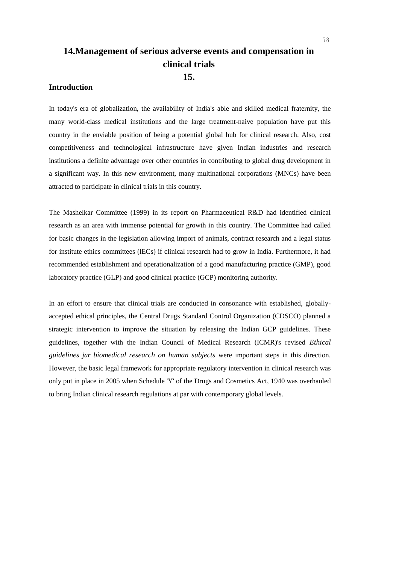# **14.Management of serious adverse events and compensation in clinical trials 15.**

# **Introduction**

In today's era of globalization, the availability of India's able and skilled medical fraternity, the many world-class medical institutions and the large treatment-naive population have put this country in the enviable position of being a potential global hub for clinical research. Also, cost competitiveness and technological infrastructure have given Indian industries and research institutions a definite advantage over other countries in contributing to global drug development in a significant way. In this new environment, many multinational corporations (MNCs) have been attracted to participate in clinical trials in this country.

The Mashelkar Committee (1999) in its report on Pharmaceutical R&D had identified clinical research as an area with immense potential for growth in this country. The Committee had called for basic changes in the legislation allowing import of animals, contract research and a legal status for institute ethics committees (lECs) if clinical research had to grow in India. Furthermore, it had recommended establishment and operationalization of a good manufacturing practice (GMP), good laboratory practice (GLP) and good clinical practice (GCP) monitoring authority.

In an effort to ensure that clinical trials are conducted in consonance with established, globallyaccepted ethical principles, the Central Drugs Standard Control Organization (CDSCO) planned a strategic intervention to improve the situation by releasing the Indian GCP guidelines. These guidelines, together with the Indian Council of Medical Research (ICMR)'s revised *Ethical guidelines jar biomedical research on human subjects* were important steps in this direction. However, the basic legal framework for appropriate regulatory intervention in clinical research was only put in place in 2005 when Schedule 'Y' of the Drugs and Cosmetics Act, 1940 was overhauled to bring Indian clinical research regulations at par with contemporary global levels.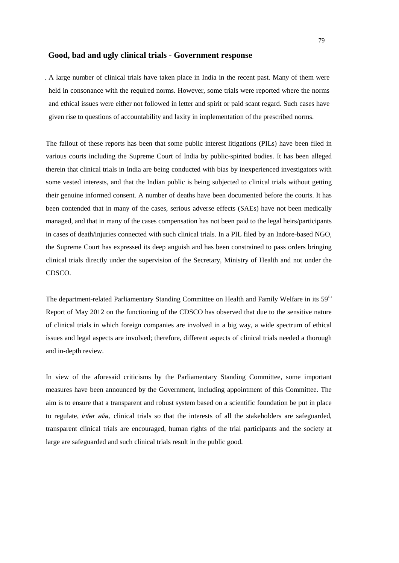#### **Good, bad and ugly clinical trials - Government response**

. A large number of clinical trials have taken place in India in the recent past. Many of them were held in consonance with the required norms. However, some trials were reported where the norms and ethical issues were either not followed in letter and spirit or paid scant regard. Such cases have given rise to questions of accountability and laxity in implementation of the prescribed norms.

The fallout of these reports has been that some public interest litigations (PILs) have been filed in various courts including the Supreme Court of India by public-spirited bodies. It has been alleged therein that clinical trials in India are being conducted with bias by inexperienced investigators with some vested interests, and that the Indian public is being subjected to clinical trials without getting their genuine informed consent. A number of deaths have been documented before the courts. It has been contended that in many of the cases, serious adverse effects (SAEs) have not been medically managed, and that in many of the cases compensation has not been paid to the legal heirs/participants in cases of death/injuries connected with such clinical trials. In a PIL filed by an Indore-based NGO, the Supreme Court has expressed its deep anguish and has been constrained to pass orders bringing clinical trials directly under the supervision of the Secretary, Ministry of Health and not under the CDSCO.

The department-related Parliamentary Standing Committee on Health and Family Welfare in its 59<sup>th</sup> Report of May 2012 on the functioning of the CDSCO has observed that due to the sensitive nature of clinical trials in which foreign companies are involved in a big way, a wide spectrum of ethical issues and legal aspects are involved; therefore, different aspects of clinical trials needed a thorough and in-depth review.

In view of the aforesaid criticisms by the Parliamentary Standing Committee, some important measures have been announced by the Government, including appointment of this Committee. The aim is to ensure that a transparent and robust system based on a scientific foundation be put in place to regulate, *infer alia,* clinical trials so that the interests of all the stakeholders are safeguarded, transparent clinical trials are encouraged, human rights of the trial participants and the society at large are safeguarded and such clinical trials result in the public good.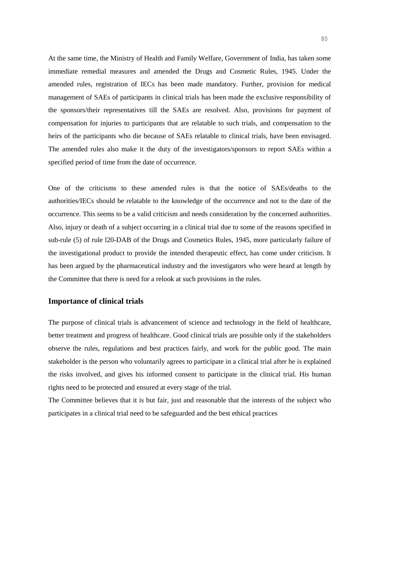At the same time, the Ministry of Health and Family Welfare, Government of India, has taken some immediate remedial measures and amended the Drugs and Cosmetic Rules, 1945. Under the amended rules, registration of IECs has been made mandatory. Further, provision for medical management of SAEs of participants in clinical trials has been made the exclusive responsibility of the sponsors/their representatives till the SAEs are resolved. Also, provisions for payment of compensation for injuries to participants that are relatable to such trials, and compensation to the heirs of the participants who die because of SAEs relatable to clinical trials, have been envisaged. The amended rules also make it the duty of the investigators/sponsors to report SAEs within a specified period of time from the date of occurrence.

One of the criticisms to these amended rules is that the notice of SAEs/deaths to the authorities/IECs should be relatable to the knowledge of the occurrence and not to the date of the occurrence. This seems to be a valid criticism and needs consideration by the concerned authorities. Also, injury or death of a subject occurring in a clinical trial due to some of the reasons specified in sub-rule (5) of rule l20-DAB of the Drugs and Cosmetics Rules, 1945, more particularly failure of the investigational product to provide the intended therapeutic effect, has come under criticism. It has been argued by the pharmaceutical industry and the investigators who were heard at length by the Committee that there is need for a relook at such provisions in the rules.

#### **Importance of clinical trials**

The purpose of clinical trials is advancement of science and technology in the field of healthcare, better treatment and progress of healthcare. Good clinical trials are possible only if the stakeholders observe the rules, regulations and best practices fairly, and work for the public good. The main stakeholder is the person who voluntarily agrees to participate in a clinical trial after he is explained the risks involved, and gives his informed consent to participate in the clinical trial. His human rights need to be protected and ensured at every stage of the trial.

The Committee believes that it is but fair, just and reasonable that the interests of the subject who participates in a clinical trial need to be safeguarded and the best ethical practices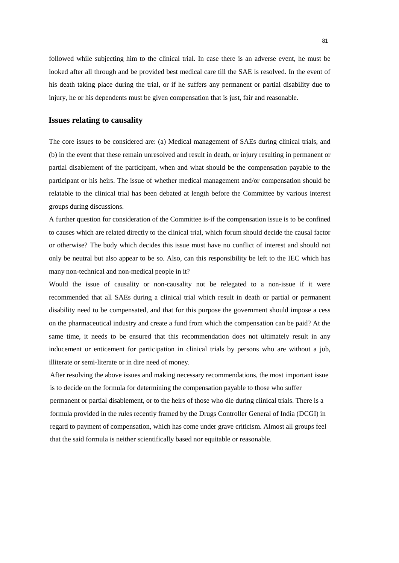followed while subjecting him to the clinical trial. In case there is an adverse event, he must be looked after all through and be provided best medical care till the SAE is resolved. In the event of his death taking place during the trial, or if he suffers any permanent or partial disability due to injury, he or his dependents must be given compensation that is just, fair and reasonable.

## **Issues relating to causality**

The core issues to be considered are: (a) Medical management of SAEs during clinical trials, and (b) in the event that these remain unresolved and result in death, or injury resulting in permanent or partial disablement of the participant, when and what should be the compensation payable to the participant or his heirs. The issue of whether medical management and/or compensation should be relatable to the clinical trial has been debated at length before the Committee by various interest groups during discussions.

A further question for consideration of the Committee is-if the compensation issue is to be confined to causes which are related directly to the clinical trial, which forum should decide the causal factor or otherwise? The body which decides this issue must have no conflict of interest and should not only be neutral but also appear to be so. Also, can this responsibility be left to the IEC which has many non-technical and non-medical people in it?

Would the issue of causality or non-causality not be relegated to a non-issue if it were recommended that all SAEs during a clinical trial which result in death or partial or permanent disability need to be compensated, and that for this purpose the government should impose a cess on the pharmaceutical industry and create a fund from which the compensation can be paid? At the same time, it needs to be ensured that this recommendation does not ultimately result in any inducement or enticement for participation in clinical trials by persons who are without a job, illiterate or semi-literate or in dire need of money.

After resolving the above issues and making necessary recommendations, the most important issue is to decide on the formula for determining the compensation payable to those who suffer permanent or partial disablement, or to the heirs of those who die during clinical trials. There is a formula provided in the rules recently framed by the Drugs Controller General of India (DCGI) in regard to payment of compensation, which has come under grave criticism. Almost all groups feel that the said formula is neither scientifically based nor equitable or reasonable.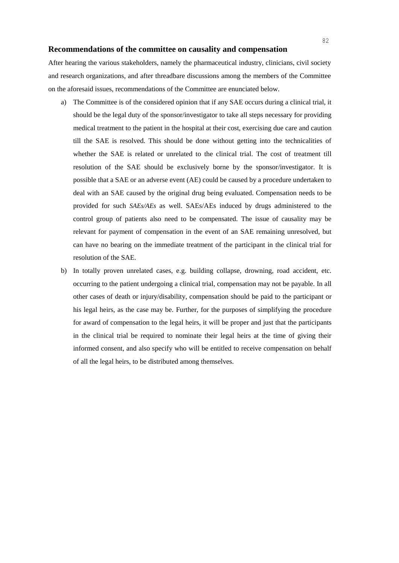#### **Recommendations of the committee on causality and compensation**

After hearing the various stakeholders, namely the pharmaceutical industry, clinicians, civil society and research organizations, and after threadbare discussions among the members of the Committee on the aforesaid issues, recommendations of the Committee are enunciated below.

- a) The Committee is of the considered opinion that if any SAE occurs during a clinical trial, it should be the legal duty of the sponsor/investigator to take all steps necessary for providing medical treatment to the patient in the hospital at their cost, exercising due care and caution till the SAE is resolved. This should be done without getting into the technicalities of whether the SAE is related or unrelated to the clinical trial. The cost of treatment till resolution of the SAE should be exclusively borne by the sponsor/investigator. It is possible that a SAE or an adverse event (AE) could be caused by a procedure undertaken to deal with an SAE caused by the original drug being evaluated. Compensation needs to be provided for such *SAEs/AEs* as well. SAEs/AEs induced by drugs administered to the control group of patients also need to be compensated. The issue of causality may be relevant for payment of compensation in the event of an SAE remaining unresolved, but can have no bearing on the immediate treatment of the participant in the clinical trial for resolution of the SAE.
- b) In totally proven unrelated cases, e.g. building collapse, drowning, road accident, etc. occurring to the patient undergoing a clinical trial, compensation may not be payable. In all other cases of death or injury/disability, compensation should be paid to the participant or his legal heirs, as the case may be. Further, for the purposes of simplifying the procedure for award of compensation to the legal heirs, it will be proper and just that the participants in the clinical trial be required to nominate their legal heirs at the time of giving their informed consent, and also specify who will be entitled to receive compensation on behalf of all the legal heirs, to be distributed among themselves.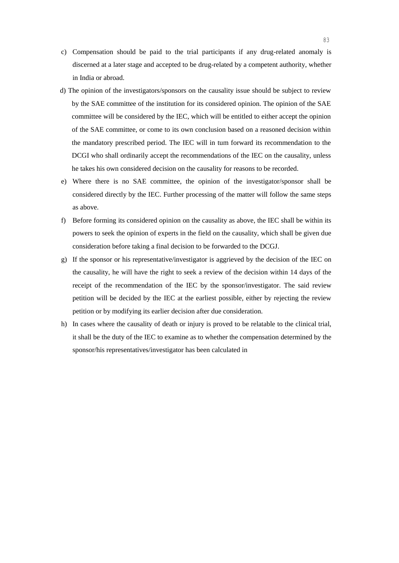- c) Compensation should be paid to the trial participants if any drug-related anomaly is discerned at a later stage and accepted to be drug-related by a competent authority, whether in India or abroad.
- d) The opinion of the investigators/sponsors on the causality issue should be subject to review by the SAE committee of the institution for its considered opinion. The opinion of the SAE committee will be considered by the IEC, which will be entitled to either accept the opinion of the SAE committee, or come to its own conclusion based on a reasoned decision within the mandatory prescribed period. The IEC will in tum forward its recommendation to the DCGI who shall ordinarily accept the recommendations of the IEC on the causality, unless he takes his own considered decision on the causality for reasons to be recorded.
- e) Where there is no SAE committee, the opinion of the investigator/sponsor shall be considered directly by the IEC. Further processing of the matter will follow the same steps as above.
- f) Before forming its considered opinion on the causality as above, the IEC shall be within its powers to seek the opinion of experts in the field on the causality, which shall be given due consideration before taking a final decision to be forwarded to the DCGJ.
- g) If the sponsor or his representative/investigator is aggrieved by the decision of the IEC on the causality, he will have the right to seek a review of the decision within 14 days of the receipt of the recommendation of the IEC by the sponsor/investigator. The said review petition will be decided by the IEC at the earliest possible, either by rejecting the review petition or by modifying its earlier decision after due consideration.
- h) In cases where the causality of death or injury is proved to be relatable to the clinical trial, it shall be the duty of the IEC to examine as to whether the compensation determined by the sponsor/his representatives/investigator has been calculated in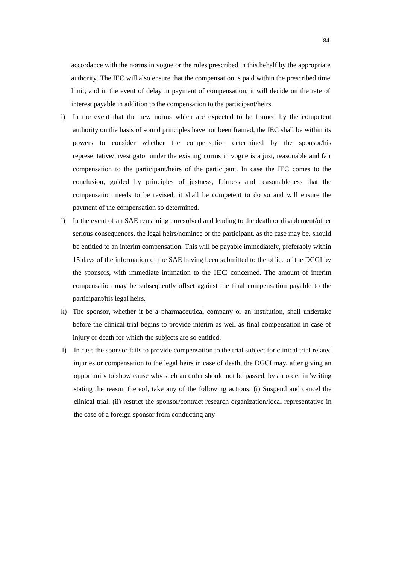accordance with the norms in vogue or the rules prescribed in this behalf by the appropriate authority. The IEC will also ensure that the compensation is paid within the prescribed time limit; and in the event of delay in payment of compensation, it will decide on the rate of interest payable in addition to the compensation to the participant/heirs.

- i) In the event that the new norms which are expected to be framed by the competent authority on the basis of sound principles have not been framed, the IEC shall be within its powers to consider whether the compensation determined by the sponsor/his representative/investigator under the existing norms in vogue is a just, reasonable and fair compensation to the participant/heirs of the participant. In case the IEC comes to the conclusion, guided by principles of justness, fairness and reasonableness that the compensation needs to be revised, it shall be competent to do so and will ensure the payment of the compensation so determined.
- j) In the event of an SAE remaining unresolved and leading to the death or disablement/other serious consequences, the legal heirs/nominee or the participant, as the case may be, should be entitled to an interim compensation. This will be payable immediately, preferably within 15 days of the information of the SAE having been submitted to the office of the DCGI by the sponsors, with immediate intimation to the IEC concerned. The amount of interim compensation may be subsequently offset against the final compensation payable to the participant/his legal heirs.
- k) The sponsor, whether it be a pharmaceutical company or an institution, shall undertake before the clinical trial begins to provide interim as well as final compensation in case of injury or death for which the subjects are so entitled.
- I) In case the sponsor fails to provide compensation to the trial subject for clinical trial related injuries or compensation to the legal heirs in case of death, the DGCI may, after giving an opportunity to show cause why such an order should not be passed, by an order in 'writing stating the reason thereof, take any of the following actions: (i) Suspend and cancel the clinical trial; (ii) restrict the sponsor/contract research organization/local representative in the case of a foreign sponsor from conducting any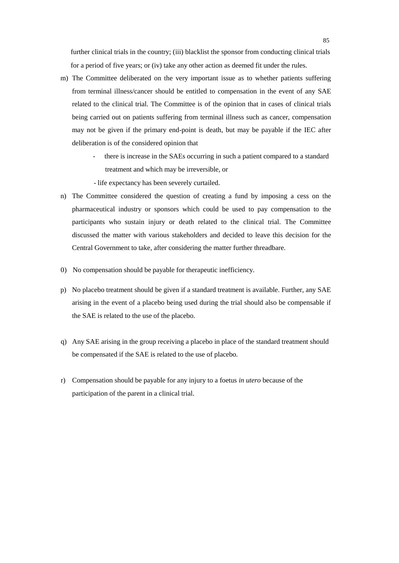further clinical trials in the country; (iii) blacklist the sponsor from conducting clinical trials for a period of five years; or (iv) take any other action as deemed fit under the rules.

- m) The Committee deliberated on the very important issue as to whether patients suffering from terminal illness/cancer should be entitled to compensation in the event of any SAE related to the clinical trial. The Committee is of the opinion that in cases of clinical trials being carried out on patients suffering from terminal illness such as cancer, compensation may not be given if the primary end-point is death, but may be payable if the IEC after deliberation is of the considered opinion that
	- there is increase in the SAEs occurring in such a patient compared to a standard treatment and which may be irreversible, or
	- life expectancy has been severely curtailed.
- n) The Committee considered the question of creating a fund by imposing a cess on the pharmaceutical industry or sponsors which could be used to pay compensation to the participants who sustain injury or death related to the clinical trial. The Committee discussed the matter with various stakeholders and decided to leave this decision for the Central Government to take, after considering the matter further threadbare.
- 0) No compensation should be payable for therapeutic inefficiency.
- p) No placebo treatment should be given if a standard treatment is available. Further, any SAE arising in the event of a placebo being used during the trial should also be compensable if the SAE is related to the use of the placebo.
- q) Any SAE arising in the group receiving a placebo in place of the standard treatment should be compensated if the SAE is related to the use of placebo.
- r) Compensation should be payable for any injury to a foetus *in utero* because of the participation of the parent in a clinical trial.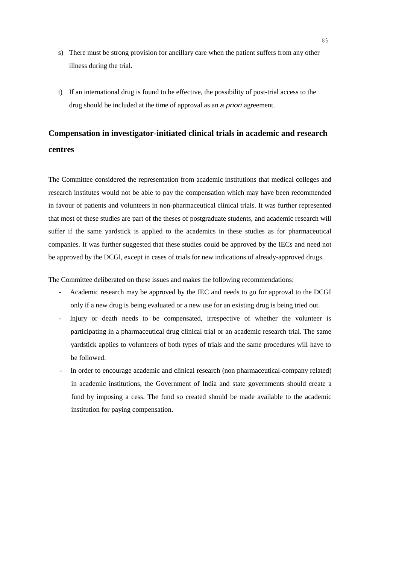- s) There must be strong provision for ancillary care when the patient suffers from any other illness during the trial.
- t) If an international drug is found to be effective, the possibility of post-trial access to the drug should be included at the time of approval as an *a priori* agreement.

# **Compensation in investigator-initiated clinical trials in academic and research centres**

The Committee considered the representation from academic institutions that medical colleges and research institutes would not be able to pay the compensation which may have been recommended in favour of patients and volunteers in non-pharmaceutical clinical trials. It was further represented that most of these studies are part of the theses of postgraduate students, and academic research will suffer if the same yardstick is applied to the academics in these studies as for pharmaceutical companies. It was further suggested that these studies could be approved by the IECs and need not be approved by the DCGl, except in cases of trials for new indications of already-approved drugs.

The Committee deliberated on these issues and makes the following recommendations:

- Academic research may be approved by the IEC and needs to go for approval to the DCGI only if a new drug is being evaluated or a new use for an existing drug is being tried out.
- Injury or death needs to be compensated, irrespective of whether the volunteer is participating in a pharmaceutical drug clinical trial or an academic research trial. The same yardstick applies to volunteers of both types of trials and the same procedures will have to be followed.
- In order to encourage academic and clinical research (non pharmaceutical-company related) in academic institutions, the Government of India and state governments should create a fund by imposing a cess. The fund so created should be made available to the academic institution for paying compensation.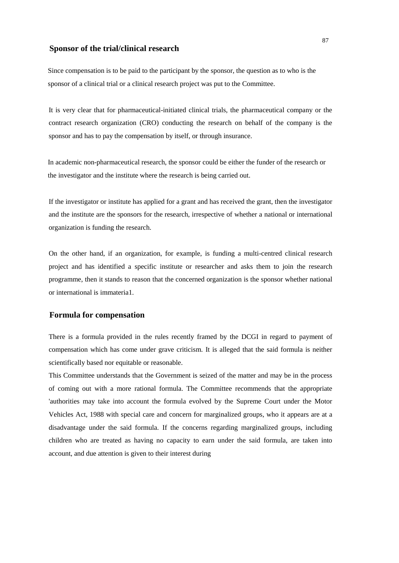# **Sponsor of the trial/clinical research**

Since compensation is to be paid to the participant by the sponsor, the question as to who is the sponsor of a clinical trial or a clinical research project was put to the Committee.

It is very clear that for pharmaceutical-initiated clinical trials, the pharmaceutical company or the contract research organization (CRO) conducting the research on behalf of the company is the sponsor and has to pay the compensation by itself, or through insurance.

In academic non-pharmaceutical research, the sponsor could be either the funder of the research or the investigator and the institute where the research is being carried out.

If the investigator or institute has applied for a grant and has received the grant, then the investigator and the institute are the sponsors for the research, irrespective of whether a national or international organization is funding the research.

On the other hand, if an organization, for example, is funding a multi-centred clinical research project and has identified a specific institute or researcher and asks them to join the research programme, then it stands to reason that the concerned organization is the sponsor whether national or international is immateria1.

#### **Formula for compensation**

There is a formula provided in the rules recently framed by the DCGI in regard to payment of compensation which has come under grave criticism. It is alleged that the said formula is neither scientifically based nor equitable or reasonable.

This Committee understands that the Government is seized of the matter and may be in the process of coming out with a more rational formula. The Committee recommends that the appropriate 'authorities may take into account the formula evolved by the Supreme Court under the Motor Vehicles Act, 1988 with special care and concern for marginalized groups, who it appears are at a disadvantage under the said formula. If the concerns regarding marginalized groups, including children who are treated as having no capacity to earn under the said formula, are taken into account, and due attention is given to their interest during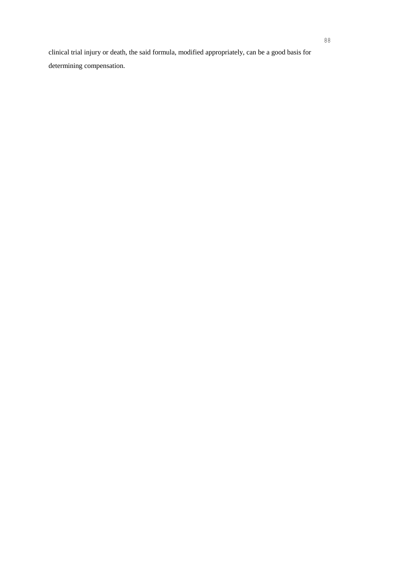clinical trial injury or death, the said formula, modified appropriately, can be a good basis for determining compensation.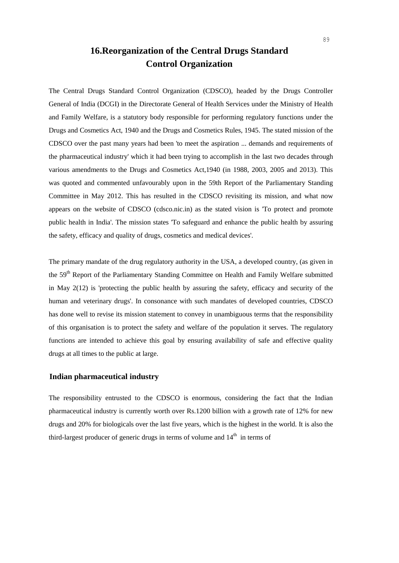# **16.Reorganization of the Central Drugs Standard Control Organization**

The Central Drugs Standard Control Organization (CDSCO), headed by the Drugs Controller General of India (DCGI) in the Directorate General of Health Services under the Ministry of Health and Family Welfare, is a statutory body responsible for performing regulatory functions under the Drugs and Cosmetics Act, 1940 and the Drugs and Cosmetics Rules, 1945. The stated mission of the CDSCO over the past many years had been 'to meet the aspiration ... demands and requirements of the pharmaceutical industry' which it had been trying to accomplish in the last two decades through various amendments to the Drugs and Cosmetics Act,1940 (in 1988, 2003, 2005 and 2013). This was quoted and commented unfavourably upon in the 59th Report of the Parliamentary Standing Committee in May 2012. This has resulted in the CDSCO revisiting its mission, and what now appears on the website of CDSCO (cdsco.nic.in) as the stated vision is 'To protect and promote public health in India'. The mission states 'To safeguard and enhance the public health by assuring the safety, efficacy and quality of drugs, cosmetics and medical devices'.

The primary mandate of the drug regulatory authority in the USA, a developed country, (as given in the 59<sup>th</sup> Report of the Parliamentary Standing Committee on Health and Family Welfare submitted in May 2(12) is 'protecting the public health by assuring the safety, efficacy and security of the human and veterinary drugs'. In consonance with such mandates of developed countries, CDSCO has done well to revise its mission statement to convey in unambiguous terms that the responsibility of this organisation is to protect the safety and welfare of the population it serves. The regulatory functions are intended to achieve this goal by ensuring availability of safe and effective quality drugs at all times to the public at large.

# **Indian pharmaceutical industry**

The responsibility entrusted to the CDSCO is enormous, considering the fact that the Indian pharmaceutical industry is currently worth over Rs.1200 billion with a growth rate of 12% for new drugs and 20% for biologicals over the last five years, which is the highest in the world. It is also the third-largest producer of generic drugs in terms of volume and  $14<sup>th</sup>$  in terms of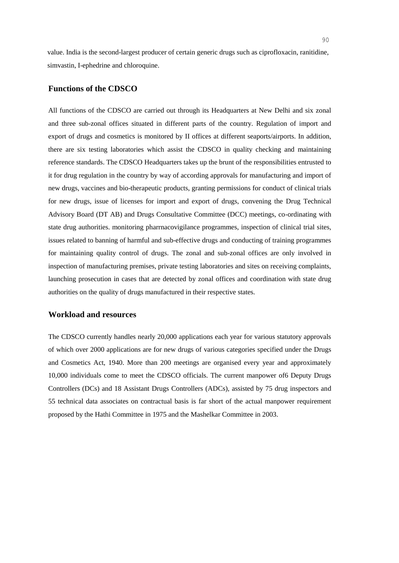value. India is the second-largest producer of certain generic drugs such as ciprofloxacin, ranitidine, simvastin, I-ephedrine and chloroquine.

## **Functions of the CDSCO**

All functions of the CDSCO are carried out through its Headquarters at New Delhi and six zonal and three sub-zonal offices situated in different parts of the country. Regulation of import and export of drugs and cosmetics is monitored by II offices at different seaports/airports. In addition, there are six testing laboratories which assist the CDSCO in quality checking and maintaining reference standards. The CDSCO Headquarters takes up the brunt of the responsibilities entrusted to it for drug regulation in the country by way of according approvals for manufacturing and import of new drugs, vaccines and bio-therapeutic products, granting permissions for conduct of clinical trials for new drugs, issue of licenses for import and export of drugs, convening the Drug Technical Advisory Board (DT AB) and Drugs Consultative Committee (DCC) meetings, co-ordinating with state drug authorities. monitoring pharrnacovigilance programmes, inspection of clinical trial sites, issues related to banning of harmful and sub-effective drugs and conducting of training programmes for maintaining quality control of drugs. The zonal and sub-zonal offices are only involved in inspection of manufacturing premises, private testing laboratories and sites on receiving complaints, launching prosecution in cases that are detected by zonal offices and coordination with state drug authorities on the quality of drugs manufactured in their respective states.

#### **Workload and resources**

The CDSCO currently handles nearly 20,000 applications each year for various statutory approvals of which over 2000 applications are for new drugs of various categories specified under the Drugs and Cosmetics Act, 1940. More than 200 meetings are organised every year and approximately 10,000 individuals come to meet the CDSCO officials. The current manpower of6 Deputy Drugs Controllers (DCs) and 18 Assistant Drugs Controllers (ADCs), assisted by 75 drug inspectors and 55 technical data associates on contractual basis is far short of the actual manpower requirement proposed by the Hathi Committee in 1975 and the Mashelkar Committee in 2003.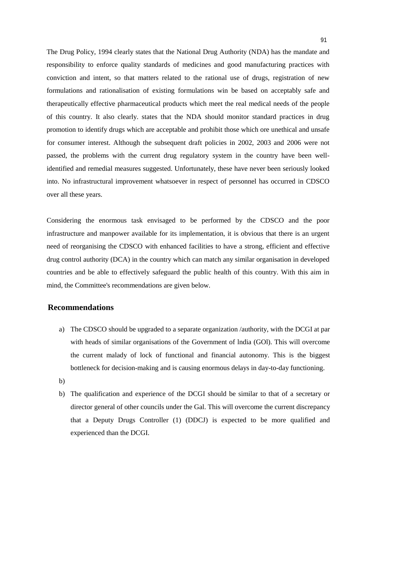The Drug Policy, 1994 clearly states that the National Drug Authority (NDA) has the mandate and responsibility to enforce quality standards of medicines and good manufacturing practices with conviction and intent, so that matters related to the rational use of drugs, registration of new formulations and rationalisation of existing formulations win be based on acceptably safe and therapeutically effective pharmaceutical products which meet the real medical needs of the people of this country. It also clearly. states that the NDA should monitor standard practices in drug promotion to identify drugs which are acceptable and prohibit those which ore unethical and unsafe for consumer interest. Although the subsequent draft policies in 2002, 2003 and 2006 were not passed, the problems with the current drug regulatory system in the country have been wellidentified and remedial measures suggested. Unfortunately, these have never been seriously looked into. No infrastructural improvement whatsoever in respect of personnel has occurred in CDSCO over all these years.

Considering the enormous task envisaged to be performed by the CDSCO and the poor infrastructure and manpower available for its implementation, it is obvious that there is an urgent need of reorganising the CDSCO with enhanced facilities to have a strong, efficient and effective drug control authority (DCA) in the country which can match any similar organisation in developed countries and be able to effectively safeguard the public health of this country. With this aim in mind, the Committee's recommendations are given below.

## **Recommendations**

- a) The CDSCO should be upgraded to a separate organization /authority, with the DCGI at par with heads of similar organisations of the Government of lndia (GOl). This will overcome the current malady of lock of functional and financial autonomy. This is the biggest bottleneck for decision-making and is causing enormous delays in day-to-day functioning.
- b)
- b) The qualification and experience of the DCGI should be similar to that of a secretary or director general of other councils under the Gal. This will overcome the current discrepancy that a Deputy Drugs Controller (1) (DDCJ) is expected to be more qualified and experienced than the DCGI.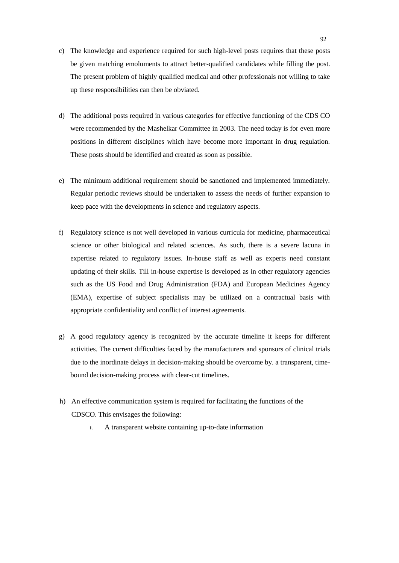- c) The knowledge and experience required for such high-level posts requires that these posts be given matching emoluments to attract better-qualified candidates while filling the post. The present problem of highly qualified medical and other professionals not willing to take up these responsibilities can then be obviated.
- d) The additional posts required in various categories for effective functioning of the CDS CO were recommended by the Mashelkar Committee in 2003. The need today is for even more positions in different disciplines which have become more important in drug regulation. These posts should be identified and created as soon as possible.
- e) The minimum additional requirement should be sanctioned and implemented immediately. Regular periodic reviews should be undertaken to assess the needs of further expansion to keep pace with the developments in science and regulatory aspects.
- f) Regulatory science IS not well developed in various curricula for medicine, pharmaceutical science or other biological and related sciences. As such, there is a severe lacuna in expertise related to regulatory issues. In-house staff as well as experts need constant updating of their skills. Till in-house expertise is developed as in other regulatory agencies such as the US Food and Drug Administration (FDA) and European Medicines Agency (EMA), expertise of subject specialists may be utilized on a contractual basis with appropriate confidentiality and conflict of interest agreements.
- g) A good regulatory agency is recognized by the accurate timeline it keeps for different activities. The current difficulties faced by the manufacturers and sponsors of clinical trials due to the inordinate delays in decision-making should be overcome by. a transparent, timebound decision-making process with clear-cut timelines.
- h) An effective communication system is required for facilitating the functions of the CDSCO. This envisages the following:
	- I. A transparent website containing up-to-date information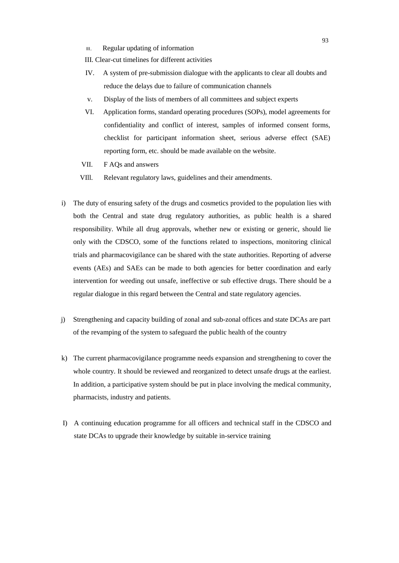II. Regular updating of information

III. Clear-cut timelines for different activities

- IV. A system of pre-submission dialogue with the applicants to clear all doubts and reduce the delays due to failure of communication channels
- v. Display of the lists of members of all committees and subject experts
- VI. Application forms, standard operating procedures (SOPs), model agreements for confidentiality and conflict of interest, samples of informed consent forms, checklist for participant information sheet, serious adverse effect (SAE) reporting form, etc. should be made available on the website.
- VII. F AQs and answers
- VIll. Relevant regulatory laws, guidelines and their amendments.
- i) The duty of ensuring safety of the drugs and cosmetics provided to the population lies with both the Central and state drug regulatory authorities, as public health is a shared responsibility. While all drug approvals, whether new or existing or generic, should lie only with the CDSCO, some of the functions related to inspections, monitoring clinical trials and pharmacovigilance can be shared with the state authorities. Reporting of adverse events (AEs) and SAEs can be made to both agencies for better coordination and early intervention for weeding out unsafe, ineffective or sub effective drugs. There should be a regular dialogue in this regard between the Central and state regulatory agencies.
- j) Strengthening and capacity building of zonal and sub-zonal offices and state DCAs are part of the revamping of the system to safeguard the public health of the country
- k) The current pharmacovigilance programme needs expansion and strengthening to cover the whole country. It should be reviewed and reorganized to detect unsafe drugs at the earliest. In addition, a participative system should be put in place involving the medical community, pharmacists, industry and patients.
- I) A continuing education programme for all officers and technical staff in the CDSCO and state DCAs to upgrade their knowledge by suitable in-service training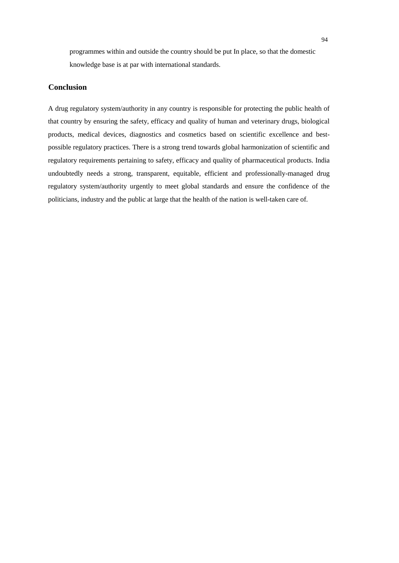programmes within and outside the country should be put In place, so that the domestic knowledge base is at par with international standards.

# **Conclusion**

A drug regulatory system/authority in any country is responsible for protecting the public health of that country by ensuring the safety, efficacy and quality of human and veterinary drugs, biological products, medical devices, diagnostics and cosmetics based on scientific excellence and bestpossible regulatory practices. There is a strong trend towards global harmonization of scientific and regulatory requirements pertaining to safety, efficacy and quality of pharmaceutical products. India undoubtedly needs a strong, transparent, equitable, efficient and professionally-managed drug regulatory system/authority urgently to meet global standards and ensure the confidence of the politicians, industry and the public at large that the health of the nation is well-taken care of.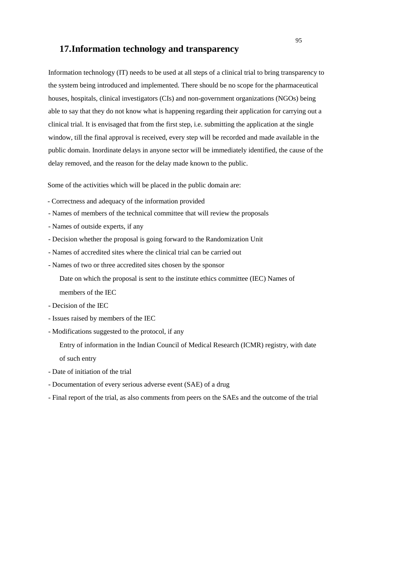# **17.Information technology and transparency**

Information technology (IT) needs to be used at all steps of a clinical trial to bring transparency to the system being introduced and implemented. There should be no scope for the pharmaceutical houses, hospitals, clinical investigators (CIs) and non-government organizations (NGOs) being able to say that they do not know what is happening regarding their application for carrying out a clinical trial. It is envisaged that from the first step, i.e. submitting the application at the single window, till the final approval is received, every step will be recorded and made available in the public domain. Inordinate delays in anyone sector will be immediately identified, the cause of the delay removed, and the reason for the delay made known to the public.

Some of the activities which will be placed in the public domain are:

- Correctness and adequacy of the information provided
- Names of members of the technical committee that will review the proposals
- Names of outside experts, if any
- Decision whether the proposal is going forward to the Randomization Unit
- Names of accredited sites where the clinical trial can be carried out
- Names of two or three accredited sites chosen by the sponsor

Date on which the proposal is sent to the institute ethics committee (IEC) Names of members of the IEC

- Decision of the IEC
- Issues raised by members of the IEC
- Modifications suggested to the protocol, if any

Entry of information in the Indian Council of Medical Research (ICMR) registry, with date of such entry

- Date of initiation of the trial
- Documentation of every serious adverse event (SAE) of a drug
- Final report of the trial, as also comments from peers on the SAEs and the outcome of the trial